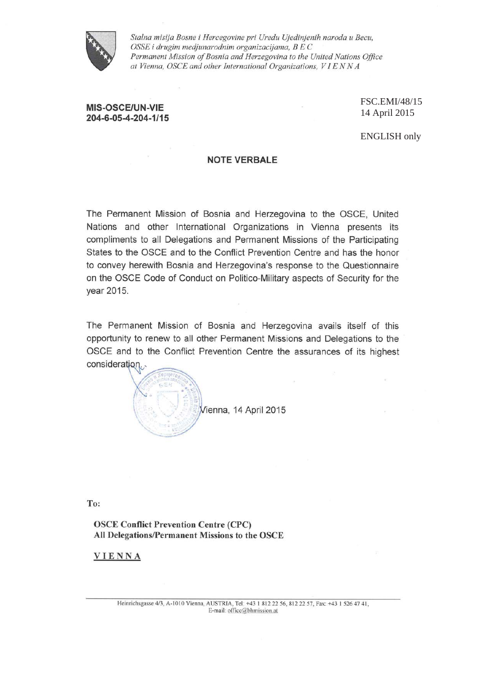

Stalna misija Bosne i Hercegovine pri Uredu Ujedinjenih naroda u Becu, OSSE i drugim medjunarodnim organizacijama, B E C Permanent Mission of Bosnia and Herzegovina to the United Nations Office at Vienna, OSCE and other International Organizations, VIENNA

## **MIS-OSCE/UN-VIE** 204-6-05-4-204-1/15

FSC.EMI/48/15 14 April 2015

ENGLISH only

## **NOTE VERBALE**

The Permanent Mission of Bosnia and Herzegovina to the OSCE, United Nations and other International Organizations in Vienna presents its compliments to all Delegations and Permanent Missions of the Participating States to the OSCE and to the Conflict Prevention Centre and has the honor to convey herewith Bosnia and Herzegovina's response to the Questionnaire on the OSCE Code of Conduct on Politico-Military aspects of Security for the year 2015.

The Permanent Mission of Bosnia and Herzegovina avails itself of this opportunity to renew to all other Permanent Missions and Delegations to the OSCE and to the Conflict Prevention Centre the assurances of its highest consideration.



To:

**OSCE Conflict Prevention Centre (CPC)** All Delegations/Permanent Missions to the OSCE

### **VIENNA**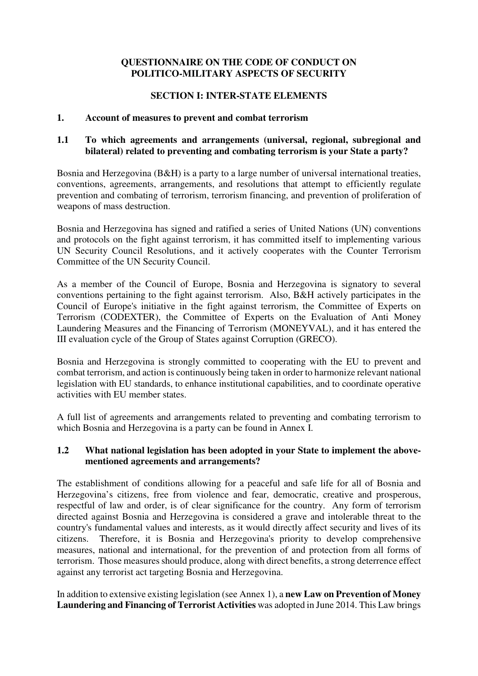# **QUESTIONNAIRE ON THE CODE OF CONDUCT ON POLITICO-MILITARY ASPECTS OF SECURITY**

## **SECTION I: INTER-STATE ELEMENTS**

## **1. Account of measures to prevent and combat terrorism**

## **1.1 To which agreements and arrangements (universal, regional, subregional and bilateral) related to preventing and combating terrorism is your State a party?**

Bosnia and Herzegovina (B&H) is a party to a large number of universal international treaties, conventions, agreements, arrangements, and resolutions that attempt to efficiently regulate prevention and combating of terrorism, terrorism financing, and prevention of proliferation of weapons of mass destruction.

Bosnia and Herzegovina has signed and ratified a series of United Nations (UN) conventions and protocols on the fight against terrorism, it has committed itself to implementing various UN Security Council Resolutions, and it actively cooperates with the Counter Terrorism Committee of the UN Security Council.

As a member of the Council of Europe, Bosnia and Herzegovina is signatory to several conventions pertaining to the fight against terrorism. Also, B&H actively participates in the Council of Europe's initiative in the fight against terrorism, the Committee of Experts on Terrorism (CODEXTER), the Committee of Experts on the Evaluation of Anti Money Laundering Measures and the Financing of Terrorism (MONEYVAL), and it has entered the III evaluation cycle of the Group of States against Corruption (GRECO).

Bosnia and Herzegovina is strongly committed to cooperating with the EU to prevent and combat terrorism, and action is continuously being taken in order to harmonize relevant national legislation with EU standards, to enhance institutional capabilities, and to coordinate operative activities with EU member states.

A full list of agreements and arrangements related to preventing and combating terrorism to which Bosnia and Herzegovina is a party can be found in Annex I.

## **1.2 What national legislation has been adopted in your State to implement the abovementioned agreements and arrangements?**

The establishment of conditions allowing for a peaceful and safe life for all of Bosnia and Herzegovina's citizens, free from violence and fear, democratic, creative and prosperous, respectful of law and order, is of clear significance for the country. Any form of terrorism directed against Bosnia and Herzegovina is considered a grave and intolerable threat to the country's fundamental values and interests, as it would directly affect security and lives of its citizens. Therefore, it is Bosnia and Herzegovina's priority to develop comprehensive measures, national and international, for the prevention of and protection from all forms of terrorism. Those measures should produce, along with direct benefits, a strong deterrence effect against any terrorist act targeting Bosnia and Herzegovina.

In addition to extensive existing legislation (see Annex 1), a **new Law on Prevention of Money Laundering and Financing of Terrorist Activities** was adopted in June 2014. This Law brings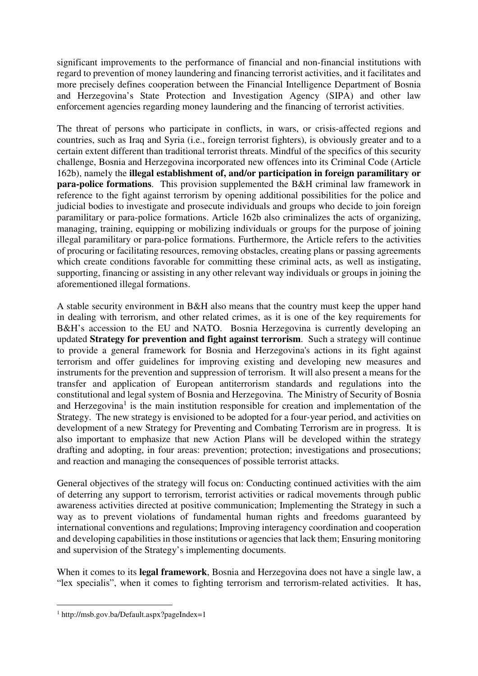significant improvements to the performance of financial and non-financial institutions with regard to prevention of money laundering and financing terrorist activities, and it facilitates and more precisely defines cooperation between the Financial Intelligence Department of Bosnia and Herzegovina's State Protection and Investigation Agency (SIPA) and other law enforcement agencies regarding money laundering and the financing of terrorist activities.

The threat of persons who participate in conflicts, in wars, or crisis-affected regions and countries, such as Iraq and Syria (i.e., foreign terrorist fighters), is obviously greater and to a certain extent different than traditional terrorist threats. Mindful of the specifics of this security challenge, Bosnia and Herzegovina incorporated new offences into its Criminal Code (Article 162b), namely the **illegal establishment of, and/or participation in foreign paramilitary or para-police formations**. This provision supplemented the B&H criminal law framework in reference to the fight against terrorism by opening additional possibilities for the police and judicial bodies to investigate and prosecute individuals and groups who decide to join foreign paramilitary or para-police formations. Article 162b also criminalizes the acts of organizing, managing, training, equipping or mobilizing individuals or groups for the purpose of joining illegal paramilitary or para-police formations. Furthermore, the Article refers to the activities of procuring or facilitating resources, removing obstacles, creating plans or passing agreements which create conditions favorable for committing these criminal acts, as well as instigating, supporting, financing or assisting in any other relevant way individuals or groups in joining the aforementioned illegal formations.

A stable security environment in B&H also means that the country must keep the upper hand in dealing with terrorism, and other related crimes, as it is one of the key requirements for B&H's accession to the EU and NATO. Bosnia Herzegovina is currently developing an updated **Strategy for prevention and fight against terrorism**. Such a strategy will continue to provide a general framework for Bosnia and Herzegovina's actions in its fight against terrorism and offer guidelines for improving existing and developing new measures and instruments for the prevention and suppression of terrorism. It will also present a means for the transfer and application of European antiterrorism standards and regulations into the constitutional and legal system of Bosnia and Herzegovina. The Ministry of Security of Bosnia and Herzegovina<sup>1</sup> is the main institution responsible for creation and implementation of the Strategy. The new strategy is envisioned to be adopted for a four-year period, and activities on development of a new Strategy for Preventing and Combating Terrorism are in progress. It is also important to emphasize that new Action Plans will be developed within the strategy drafting and adopting, in four areas: prevention; protection; investigations and prosecutions; and reaction and managing the consequences of possible terrorist attacks.

General objectives of the strategy will focus on: Conducting continued activities with the aim of deterring any support to terrorism, terrorist activities or radical movements through public awareness activities directed at positive communication; Implementing the Strategy in such a way as to prevent violations of fundamental human rights and freedoms guaranteed by international conventions and regulations; Improving interagency coordination and cooperation and developing capabilities in those institutions or agencies that lack them; Ensuring monitoring and supervision of the Strategy's implementing documents.

When it comes to its **legal framework**, Bosnia and Herzegovina does not have a single law, a "lex specialis", when it comes to fighting terrorism and terrorism-related activities. It has,

<u>.</u>

<sup>1</sup> http://msb.gov.ba/Default.aspx?pageIndex=1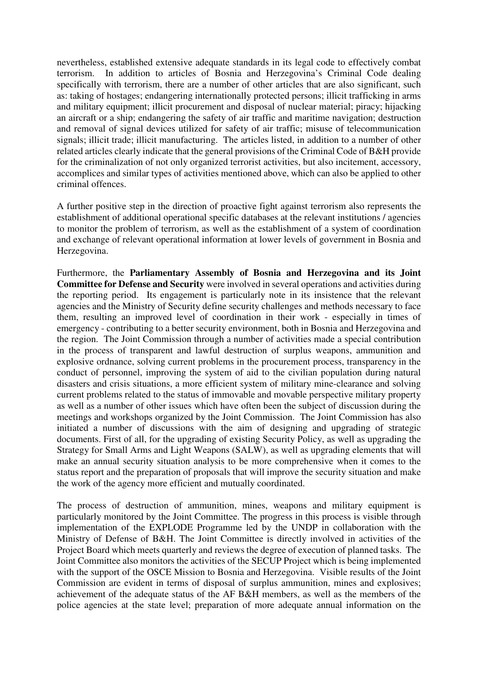nevertheless, established extensive adequate standards in its legal code to effectively combat terrorism. In addition to articles of Bosnia and Herzegovina's Criminal Code dealing specifically with terrorism, there are a number of other articles that are also significant, such as: taking of hostages; endangering internationally protected persons; illicit trafficking in arms and military equipment; illicit procurement and disposal of nuclear material; piracy; hijacking an aircraft or a ship; endangering the safety of air traffic and maritime navigation; destruction and removal of signal devices utilized for safety of air traffic; misuse of telecommunication signals; illicit trade; illicit manufacturing. The articles listed, in addition to a number of other related articles clearly indicate that the general provisions of the Criminal Code of B&H provide for the criminalization of not only organized terrorist activities, but also incitement, accessory, accomplices and similar types of activities mentioned above, which can also be applied to other criminal offences.

A further positive step in the direction of proactive fight against terrorism also represents the establishment of additional operational specific databases at the relevant institutions / agencies to monitor the problem of terrorism, as well as the establishment of a system of coordination and exchange of relevant operational information at lower levels of government in Bosnia and Herzegovina.

Furthermore, the **Parliamentary Assembly of Bosnia and Herzegovina and its Joint Committee for Defense and Security** were involved in several operations and activities during the reporting period. Its engagement is particularly note in its insistence that the relevant agencies and the Ministry of Security define security challenges and methods necessary to face them, resulting an improved level of coordination in their work - especially in times of emergency - contributing to a better security environment, both in Bosnia and Herzegovina and the region. The Joint Commission through a number of activities made a special contribution in the process of transparent and lawful destruction of surplus weapons, ammunition and explosive ordnance, solving current problems in the procurement process, transparency in the conduct of personnel, improving the system of aid to the civilian population during natural disasters and crisis situations, a more efficient system of military mine-clearance and solving current problems related to the status of immovable and movable perspective military property as well as a number of other issues which have often been the subject of discussion during the meetings and workshops organized by the Joint Commission. The Joint Commission has also initiated a number of discussions with the aim of designing and upgrading of strategic documents. First of all, for the upgrading of existing Security Policy, as well as upgrading the Strategy for Small Arms and Light Weapons (SALW), as well as upgrading elements that will make an annual security situation analysis to be more comprehensive when it comes to the status report and the preparation of proposals that will improve the security situation and make the work of the agency more efficient and mutually coordinated.

The process of destruction of ammunition, mines, weapons and military equipment is particularly monitored by the Joint Committee. The progress in this process is visible through implementation of the EXPLODE Programme led by the UNDP in collaboration with the Ministry of Defense of B&H. The Joint Committee is directly involved in activities of the Project Board which meets quarterly and reviews the degree of execution of planned tasks. The Joint Committee also monitors the activities of the SECUP Project which is being implemented with the support of the OSCE Mission to Bosnia and Herzegovina. Visible results of the Joint Commission are evident in terms of disposal of surplus ammunition, mines and explosives; achievement of the adequate status of the AF B&H members, as well as the members of the police agencies at the state level; preparation of more adequate annual information on the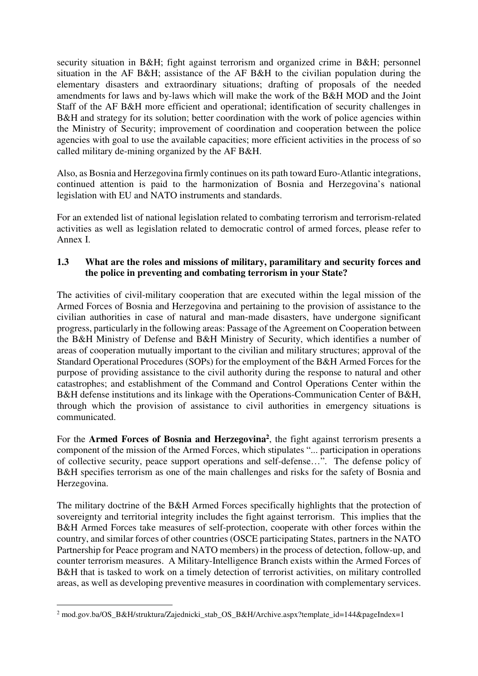security situation in B&H; fight against terrorism and organized crime in B&H; personnel situation in the AF B&H; assistance of the AF B&H to the civilian population during the elementary disasters and extraordinary situations; drafting of proposals of the needed amendments for laws and by-laws which will make the work of the B&H MOD and the Joint Staff of the AF B&H more efficient and operational; identification of security challenges in B&H and strategy for its solution; better coordination with the work of police agencies within the Ministry of Security; improvement of coordination and cooperation between the police agencies with goal to use the available capacities; more efficient activities in the process of so called military de-mining organized by the AF B&H.

Also, as Bosnia and Herzegovina firmly continues on its path toward Euro-Atlantic integrations, continued attention is paid to the harmonization of Bosnia and Herzegovina's national legislation with EU and NATO instruments and standards.

For an extended list of national legislation related to combating terrorism and terrorism-related activities as well as legislation related to democratic control of armed forces, please refer to Annex I.

# **1.3 What are the roles and missions of military, paramilitary and security forces and the police in preventing and combating terrorism in your State?**

The activities of civil-military cooperation that are executed within the legal mission of the Armed Forces of Bosnia and Herzegovina and pertaining to the provision of assistance to the civilian authorities in case of natural and man-made disasters, have undergone significant progress, particularly in the following areas: Passage of the Agreement on Cooperation between the B&H Ministry of Defense and B&H Ministry of Security, which identifies a number of areas of cooperation mutually important to the civilian and military structures; approval of the Standard Operational Procedures (SOPs) for the employment of the B&H Armed Forces for the purpose of providing assistance to the civil authority during the response to natural and other catastrophes; and establishment of the Command and Control Operations Center within the B&H defense institutions and its linkage with the Operations-Communication Center of B&H, through which the provision of assistance to civil authorities in emergency situations is communicated.

For the **Armed Forces of Bosnia and Herzegovina**<sup>2</sup>, the fight against terrorism presents a component of the mission of the Armed Forces, which stipulates "... participation in operations of collective security, peace support operations and self-defense…". The defense policy of B&H specifies terrorism as one of the main challenges and risks for the safety of Bosnia and Herzegovina.

The military doctrine of the B&H Armed Forces specifically highlights that the protection of sovereignty and territorial integrity includes the fight against terrorism. This implies that the B&H Armed Forces take measures of self-protection, cooperate with other forces within the country, and similar forces of other countries (OSCE participating States, partners in the NATO Partnership for Peace program and NATO members) in the process of detection, follow-up, and counter terrorism measures. A Military-Intelligence Branch exists within the Armed Forces of B&H that is tasked to work on a timely detection of terrorist activities, on military controlled areas, as well as developing preventive measures in coordination with complementary services.

 2 mod.gov.ba/OS\_B&H/struktura/Zajednicki\_stab\_OS\_B&H/Archive.aspx?template\_id=144&pageIndex=1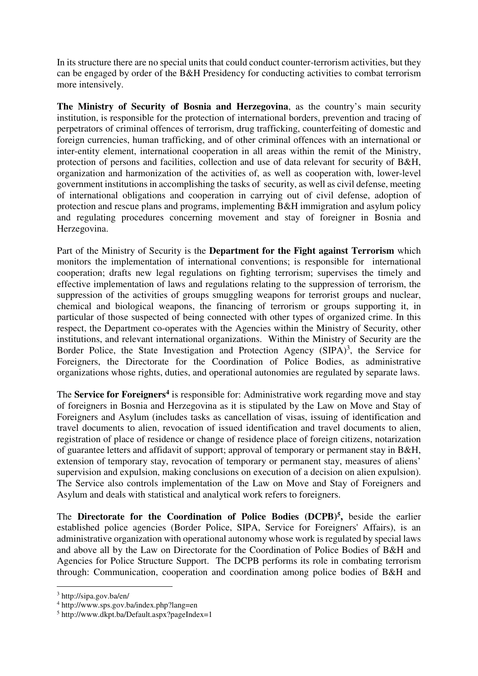In its structure there are no special units that could conduct counter-terrorism activities, but they can be engaged by order of the B&H Presidency for conducting activities to combat terrorism more intensively.

**The Ministry of Security of Bosnia and Herzegovina**, as the country's main security institution, is responsible for the protection of international borders, prevention and tracing of perpetrators of criminal offences of terrorism, drug trafficking, counterfeiting of domestic and foreign currencies, human trafficking, and of other criminal offences with an international or inter-entity element, international cooperation in all areas within the remit of the Ministry, protection of persons and facilities, collection and use of data relevant for security of B&H, organization and harmonization of the activities of, as well as cooperation with, lower-level government institutions in accomplishing the tasks of security, as well as civil defense, meeting of international obligations and cooperation in carrying out of civil defense, adoption of protection and rescue plans and programs, implementing B&H immigration and asylum policy and regulating procedures concerning movement and stay of foreigner in Bosnia and Herzegovina.

Part of the Ministry of Security is the **Department for the Fight against Terrorism** which monitors the implementation of international conventions; is responsible for international cooperation; drafts new legal regulations on fighting terrorism; supervises the timely and effective implementation of laws and regulations relating to the suppression of terrorism, the suppression of the activities of groups smuggling weapons for terrorist groups and nuclear, chemical and biological weapons, the financing of terrorism or groups supporting it, in particular of those suspected of being connected with other types of organized crime. In this respect, the Department co-operates with the Agencies within the Ministry of Security, other institutions, and relevant international organizations. Within the Ministry of Security are the Border Police, the State Investigation and Protection Agency  $(SIPA)^3$ , the Service for Foreigners, the Directorate for the Coordination of Police Bodies, as administrative organizations whose rights, duties, and operational autonomies are regulated by separate laws.

The **Service for Foreigners<sup>4</sup>** is responsible for: Administrative work regarding move and stay of foreigners in Bosnia and Herzegovina as it is stipulated by the Law on Move and Stay of Foreigners and Asylum (includes tasks as cancellation of visas, issuing of identification and travel documents to alien, revocation of issued identification and travel documents to alien, registration of place of residence or change of residence place of foreign citizens, notarization of guarantee letters and affidavit of support; approval of temporary or permanent stay in B&H, extension of temporary stay, revocation of temporary or permanent stay, measures of aliens' supervision and expulsion, making conclusions on execution of a decision on alien expulsion). The Service also controls implementation of the Law on Move and Stay of Foreigners and Asylum and deals with statistical and analytical work refers to foreigners.

The **Directorate for the Coordination of Police Bodies (DCPB)5,** beside the earlier established police agencies (Border Police, SIPA, Service for Foreigners' Affairs), is an administrative organization with operational autonomy whose work is regulated by special laws and above all by the Law on Directorate for the Coordination of Police Bodies of B&H and Agencies for Police Structure Support. The DCPB performs its role in combating terrorism through: Communication, cooperation and coordination among police bodies of B&H and

-

<sup>3</sup> http://sipa.gov.ba/en/

<sup>4</sup> http://www.sps.gov.ba/index.php?lang=en

<sup>5</sup> http://www.dkpt.ba/Default.aspx?pageIndex=1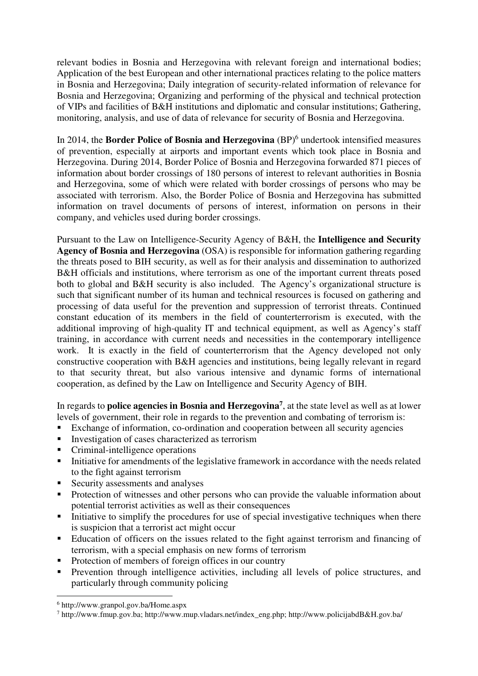relevant bodies in Bosnia and Herzegovina with relevant foreign and international bodies; Application of the best European and other international practices relating to the police matters in Bosnia and Herzegovina; Daily integration of security-related information of relevance for Bosnia and Herzegovina; Organizing and performing of the physical and technical protection of VIPs and facilities of B&H institutions and diplomatic and consular institutions; Gathering, monitoring, analysis, and use of data of relevance for security of Bosnia and Herzegovina.

In 2014, the **Border Police of Bosnia and Herzegovina** (BP)<sup>6</sup> undertook intensified measures of prevention, especially at airports and important events which took place in Bosnia and Herzegovina. During 2014, Border Police of Bosnia and Herzegovina forwarded 871 pieces of information about border crossings of 180 persons of interest to relevant authorities in Bosnia and Herzegovina, some of which were related with border crossings of persons who may be associated with terrorism. Also, the Border Police of Bosnia and Herzegovina has submitted information on travel documents of persons of interest, information on persons in their company, and vehicles used during border crossings.

Pursuant to the Law on Intelligence-Security Agency of B&H, the **Intelligence and Security Agency of Bosnia and Herzegovina** (OSA) is responsible for information gathering regarding the threats posed to BIH security, as well as for their analysis and dissemination to authorized B&H officials and institutions, where terrorism as one of the important current threats posed both to global and B&H security is also included. The Agency's organizational structure is such that significant number of its human and technical resources is focused on gathering and processing of data useful for the prevention and suppression of terrorist threats. Continued constant education of its members in the field of counterterrorism is executed, with the additional improving of high-quality IT and technical equipment, as well as Agency's staff training, in accordance with current needs and necessities in the contemporary intelligence work. It is exactly in the field of counterterrorism that the Agency developed not only constructive cooperation with B&H agencies and institutions, being legally relevant in regard to that security threat, but also various intensive and dynamic forms of international cooperation, as defined by the Law on Intelligence and Security Agency of BIH.

In regards to **police agencies in Bosnia and Herzegovina7**, at the state level as well as at lower levels of government, their role in regards to the prevention and combating of terrorism is:

- Exchange of information, co-ordination and cooperation between all security agencies
- Investigation of cases characterized as terrorism
- Criminal-intelligence operations
- Initiative for amendments of the legislative framework in accordance with the needs related to the fight against terrorism
- Security assessments and analyses
- Protection of witnesses and other persons who can provide the valuable information about potential terrorist activities as well as their consequences
- Initiative to simplify the procedures for use of special investigative techniques when there is suspicion that a terrorist act might occur
- Education of officers on the issues related to the fight against terrorism and financing of terrorism, with a special emphasis on new forms of terrorism
- Protection of members of foreign offices in our country
- Prevention through intelligence activities, including all levels of police structures, and particularly through community policing

-

<sup>6</sup> http://www.granpol.gov.ba/Home.aspx

<sup>7</sup> http://www.fmup.gov.ba; http://www.mup.vladars.net/index\_eng.php; http://www.policijabdB&H.gov.ba/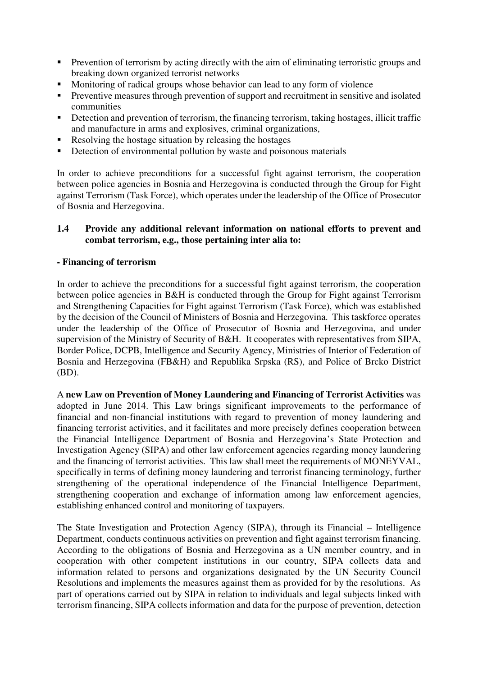- **Prevention of terrorism by acting directly with the aim of eliminating terroristic groups and** breaking down organized terrorist networks
- Monitoring of radical groups whose behavior can lead to any form of violence
- **Preventive measures through prevention of support and recruitment in sensitive and isolated** communities
- Detection and prevention of terrorism, the financing terrorism, taking hostages, illicit traffic and manufacture in arms and explosives, criminal organizations,
- Resolving the hostage situation by releasing the hostages
- Detection of environmental pollution by waste and poisonous materials

In order to achieve preconditions for a successful fight against terrorism, the cooperation between police agencies in Bosnia and Herzegovina is conducted through the Group for Fight against Terrorism (Task Force), which operates under the leadership of the Office of Prosecutor of Bosnia and Herzegovina.

# **1.4 Provide any additional relevant information on national efforts to prevent and combat terrorism, e.g., those pertaining inter alia to:**

# **- Financing of terrorism**

In order to achieve the preconditions for a successful fight against terrorism, the cooperation between police agencies in B&H is conducted through the Group for Fight against Terrorism and Strengthening Capacities for Fight against Terrorism (Task Force), which was established by the decision of the Council of Ministers of Bosnia and Herzegovina. This taskforce operates under the leadership of the Office of Prosecutor of Bosnia and Herzegovina, and under supervision of the Ministry of Security of B&H. It cooperates with representatives from SIPA, Border Police, DCPB, Intelligence and Security Agency, Ministries of Interior of Federation of Bosnia and Herzegovina (FB&H) and Republika Srpska (RS), and Police of Brcko District (BD).

A **new Law on Prevention of Money Laundering and Financing of Terrorist Activities** was adopted in June 2014. This Law brings significant improvements to the performance of financial and non-financial institutions with regard to prevention of money laundering and financing terrorist activities, and it facilitates and more precisely defines cooperation between the Financial Intelligence Department of Bosnia and Herzegovina's State Protection and Investigation Agency (SIPA) and other law enforcement agencies regarding money laundering and the financing of terrorist activities. This law shall meet the requirements of MONEYVAL, specifically in terms of defining money laundering and terrorist financing terminology, further strengthening of the operational independence of the Financial Intelligence Department, strengthening cooperation and exchange of information among law enforcement agencies, establishing enhanced control and monitoring of taxpayers.

The State Investigation and Protection Agency (SIPA), through its Financial – Intelligence Department, conducts continuous activities on prevention and fight against terrorism financing. According to the obligations of Bosnia and Herzegovina as a UN member country, and in cooperation with other competent institutions in our country, SIPA collects data and information related to persons and organizations designated by the UN Security Council Resolutions and implements the measures against them as provided for by the resolutions. As part of operations carried out by SIPA in relation to individuals and legal subjects linked with terrorism financing, SIPA collects information and data for the purpose of prevention, detection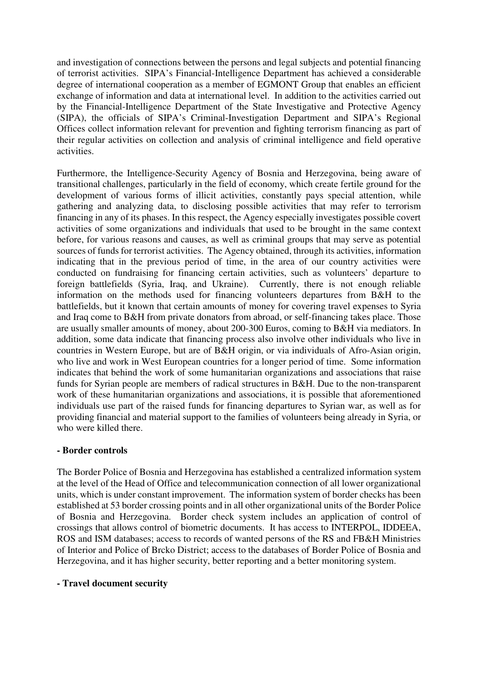and investigation of connections between the persons and legal subjects and potential financing of terrorist activities. SIPA's Financial-Intelligence Department has achieved a considerable degree of international cooperation as a member of EGMONT Group that enables an efficient exchange of information and data at international level. In addition to the activities carried out by the Financial-Intelligence Department of the State Investigative and Protective Agency (SIPA), the officials of SIPA's Criminal-Investigation Department and SIPA's Regional Offices collect information relevant for prevention and fighting terrorism financing as part of their regular activities on collection and analysis of criminal intelligence and field operative activities.

Furthermore, the Intelligence-Security Agency of Bosnia and Herzegovina, being aware of transitional challenges, particularly in the field of economy, which create fertile ground for the development of various forms of illicit activities, constantly pays special attention, while gathering and analyzing data, to disclosing possible activities that may refer to terrorism financing in any of its phases. In this respect, the Agency especially investigates possible covert activities of some organizations and individuals that used to be brought in the same context before, for various reasons and causes, as well as criminal groups that may serve as potential sources of funds for terrorist activities. The Agency obtained, through its activities, information indicating that in the previous period of time, in the area of our country activities were conducted on fundraising for financing certain activities, such as volunteers' departure to foreign battlefields (Syria, Iraq, and Ukraine). Currently, there is not enough reliable information on the methods used for financing volunteers departures from B&H to the battlefields, but it known that certain amounts of money for covering travel expenses to Syria and Iraq come to B&H from private donators from abroad, or self-financing takes place. Those are usually smaller amounts of money, about 200-300 Euros, coming to B&H via mediators. In addition, some data indicate that financing process also involve other individuals who live in countries in Western Europe, but are of B&H origin, or via individuals of Afro-Asian origin, who live and work in West European countries for a longer period of time. Some information indicates that behind the work of some humanitarian organizations and associations that raise funds for Syrian people are members of radical structures in B&H. Due to the non-transparent work of these humanitarian organizations and associations, it is possible that aforementioned individuals use part of the raised funds for financing departures to Syrian war, as well as for providing financial and material support to the families of volunteers being already in Syria, or who were killed there.

# **- Border controls**

The Border Police of Bosnia and Herzegovina has established a centralized information system at the level of the Head of Office and telecommunication connection of all lower organizational units, which is under constant improvement. The information system of border checks has been established at 53 border crossing points and in all other organizational units of the Border Police of Bosnia and Herzegovina. Border check system includes an application of control of crossings that allows control of biometric documents. It has access to INTERPOL, IDDEEA, ROS and ISM databases; access to records of wanted persons of the RS and FB&H Ministries of Interior and Police of Brcko District; access to the databases of Border Police of Bosnia and Herzegovina, and it has higher security, better reporting and a better monitoring system.

### **- Travel document security**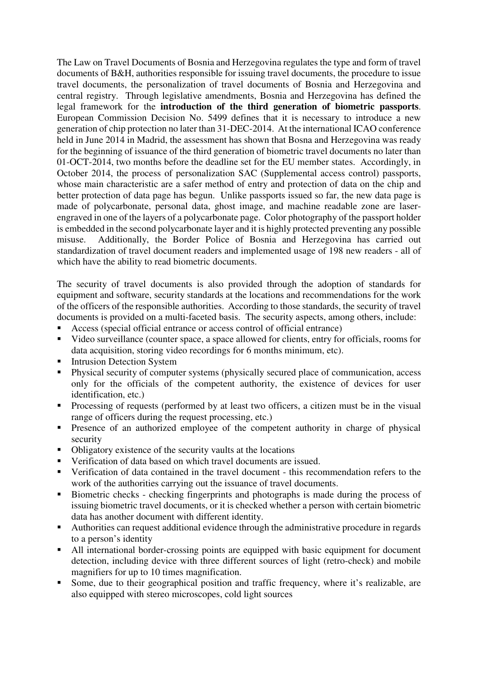The Law on Travel Documents of Bosnia and Herzegovina regulates the type and form of travel documents of B&H, authorities responsible for issuing travel documents, the procedure to issue travel documents, the personalization of travel documents of Bosnia and Herzegovina and central registry. Through legislative amendments, Bosnia and Herzegovina has defined the legal framework for the **introduction of the third generation of biometric passports**. European Commission Decision No. 5499 defines that it is necessary to introduce a new generation of chip protection no later than 31-DEC-2014. At the international ICAO conference held in June 2014 in Madrid, the assessment has shown that Bosna and Herzegovina was ready for the beginning of issuance of the third generation of biometric travel documents no later than 01-OCT-2014, two months before the deadline set for the EU member states. Accordingly, in October 2014, the process of personalization SAC (Supplemental access control) passports, whose main characteristic are a safer method of entry and protection of data on the chip and better protection of data page has begun. Unlike passports issued so far, the new data page is made of polycarbonate, personal data, ghost image, and machine readable zone are laserengraved in one of the layers of a polycarbonate page. Color photography of the passport holder is embedded in the second polycarbonate layer and it is highly protected preventing any possible misuse. Additionally, the Border Police of Bosnia and Herzegovina has carried out standardization of travel document readers and implemented usage of 198 new readers - all of which have the ability to read biometric documents.

The security of travel documents is also provided through the adoption of standards for equipment and software, security standards at the locations and recommendations for the work of the officers of the responsible authorities. According to those standards, the security of travel documents is provided on a multi-faceted basis. The security aspects, among others, include:

- Access (special official entrance or access control of official entrance)
- Video surveillance (counter space, a space allowed for clients, entry for officials, rooms for data acquisition, storing video recordings for 6 months minimum, etc).
- Intrusion Detection System
- Physical security of computer systems (physically secured place of communication, access only for the officials of the competent authority, the existence of devices for user identification, etc.)
- Processing of requests (performed by at least two officers, a citizen must be in the visual range of officers during the request processing, etc.)
- **Presence of an authorized employee of the competent authority in charge of physical** security
- Obligatory existence of the security vaults at the locations
- Verification of data based on which travel documents are issued.
- Verification of data contained in the travel document this recommendation refers to the work of the authorities carrying out the issuance of travel documents.
- Biometric checks checking fingerprints and photographs is made during the process of issuing biometric travel documents, or it is checked whether a person with certain biometric data has another document with different identity.
- Authorities can request additional evidence through the administrative procedure in regards to a person's identity
- All international border-crossing points are equipped with basic equipment for document detection, including device with three different sources of light (retro-check) and mobile magnifiers for up to 10 times magnification.
- Some, due to their geographical position and traffic frequency, where it's realizable, are also equipped with stereo microscopes, cold light sources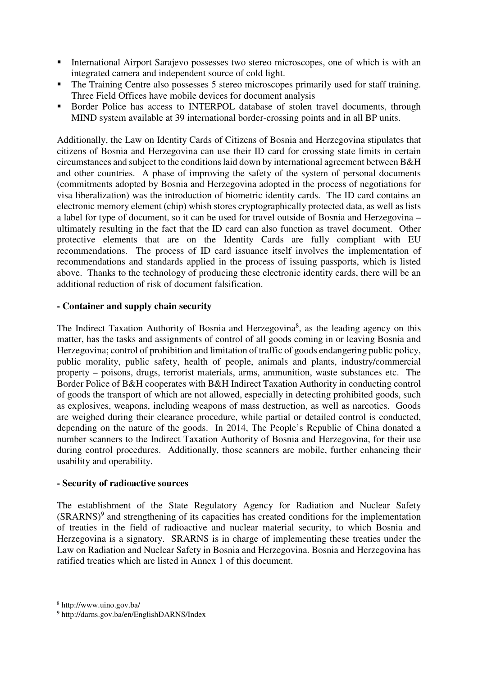- International Airport Sarajevo possesses two stereo microscopes, one of which is with an integrated camera and independent source of cold light.
- The Training Centre also possesses 5 stereo microscopes primarily used for staff training. Three Field Offices have mobile devices for document analysis
- Border Police has access to INTERPOL database of stolen travel documents, through MIND system available at 39 international border-crossing points and in all BP units.

Additionally, the Law on Identity Cards of Citizens of Bosnia and Herzegovina stipulates that citizens of Bosnia and Herzegovina can use their ID card for crossing state limits in certain circumstances and subject to the conditions laid down by international agreement between B&H and other countries. A phase of improving the safety of the system of personal documents (commitments adopted by Bosnia and Herzegovina adopted in the process of negotiations for visa liberalization) was the introduction of biometric identity cards. The ID card contains an electronic memory element (chip) whish stores cryptographically protected data, as well as lists a label for type of document, so it can be used for travel outside of Bosnia and Herzegovina – ultimately resulting in the fact that the ID card can also function as travel document. Other protective elements that are on the Identity Cards are fully compliant with EU recommendations. The process of ID card issuance itself involves the implementation of recommendations and standards applied in the process of issuing passports, which is listed above. Thanks to the technology of producing these electronic identity cards, there will be an additional reduction of risk of document falsification.

## **- Container and supply chain security**

The Indirect Taxation Authority of Bosnia and Herzegovina<sup>8</sup>, as the leading agency on this matter, has the tasks and assignments of control of all goods coming in or leaving Bosnia and Herzegovina; control of prohibition and limitation of traffic of goods endangering public policy, public morality, public safety, health of people, animals and plants, industry/commercial property – poisons, drugs, terrorist materials, arms, ammunition, waste substances etc. The Border Police of B&H cooperates with B&H Indirect Taxation Authority in conducting control of goods the transport of which are not allowed, especially in detecting prohibited goods, such as explosives, weapons, including weapons of mass destruction, as well as narcotics. Goods are weighed during their clearance procedure, while partial or detailed control is conducted, depending on the nature of the goods. In 2014, The People's Republic of China donated a number scanners to the Indirect Taxation Authority of Bosnia and Herzegovina, for their use during control procedures. Additionally, those scanners are mobile, further enhancing their usability and operability.

### **- Security of radioactive sources**

The establishment of the State Regulatory Agency for Radiation and Nuclear Safety  $(SRARNS)^9$  and strengthening of its capacities has created conditions for the implementation of treaties in the field of radioactive and nuclear material security, to which Bosnia and Herzegovina is a signatory. SRARNS is in charge of implementing these treaties under the Law on Radiation and Nuclear Safety in Bosnia and Herzegovina. Bosnia and Herzegovina has ratified treaties which are listed in Annex 1 of this document.

-

<sup>8</sup> http://www.uino.gov.ba/

<sup>9</sup> http://darns.gov.ba/en/EnglishDARNS/Index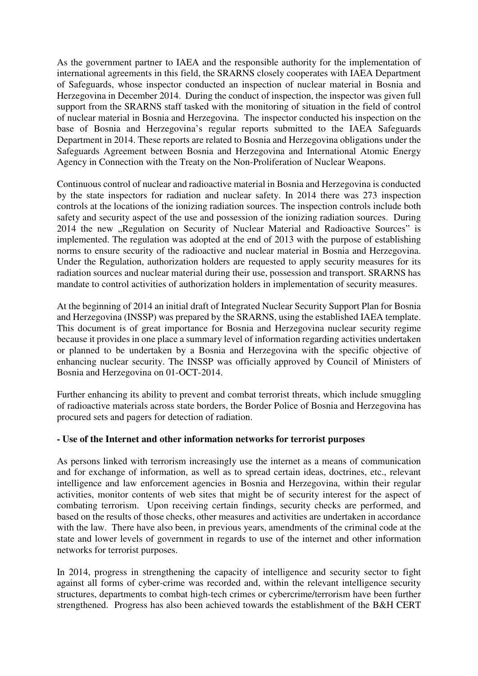As the government partner to IAEA and the responsible authority for the implementation of international agreements in this field, the SRARNS closely cooperates with IAEA Department of Safeguards, whose inspector conducted an inspection of nuclear material in Bosnia and Herzegovina in December 2014. During the conduct of inspection, the inspector was given full support from the SRARNS staff tasked with the monitoring of situation in the field of control of nuclear material in Bosnia and Herzegovina. The inspector conducted his inspection on the base of Bosnia and Herzegovina's regular reports submitted to the IAEA Safeguards Department in 2014. These reports are related to Bosnia and Herzegovina obligations under the Safeguards Agreement between Bosnia and Herzegovina and International Atomic Energy Agency in Connection with the Treaty on the Non-Proliferation of Nuclear Weapons.

Continuous control of nuclear and radioactive material in Bosnia and Herzegovina is conducted by the state inspectors for radiation and nuclear safety. In 2014 there was 273 inspection controls at the locations of the ionizing radiation sources. The inspection controls include both safety and security aspect of the use and possession of the ionizing radiation sources. During 2014 the new "Regulation on Security of Nuclear Material and Radioactive Sources" is implemented. The regulation was adopted at the end of 2013 with the purpose of establishing norms to ensure security of the radioactive and nuclear material in Bosnia and Herzegovina. Under the Regulation, authorization holders are requested to apply security measures for its radiation sources and nuclear material during their use, possession and transport. SRARNS has mandate to control activities of authorization holders in implementation of security measures.

At the beginning of 2014 an initial draft of Integrated Nuclear Security Support Plan for Bosnia and Herzegovina (INSSP) was prepared by the SRARNS, using the established IAEA template. This document is of great importance for Bosnia and Herzegovina nuclear security regime because it provides in one place a summary level of information regarding activities undertaken or planned to be undertaken by a Bosnia and Herzegovina with the specific objective of enhancing nuclear security. The INSSP was officially approved by Council of Ministers of Bosnia and Herzegovina on 01-OCT-2014.

Further enhancing its ability to prevent and combat terrorist threats, which include smuggling of radioactive materials across state borders, the Border Police of Bosnia and Herzegovina has procured sets and pagers for detection of radiation.

# **- Use of the Internet and other information networks for terrorist purposes**

As persons linked with terrorism increasingly use the internet as a means of communication and for exchange of information, as well as to spread certain ideas, doctrines, etc., relevant intelligence and law enforcement agencies in Bosnia and Herzegovina, within their regular activities, monitor contents of web sites that might be of security interest for the aspect of combating terrorism. Upon receiving certain findings, security checks are performed, and based on the results of those checks, other measures and activities are undertaken in accordance with the law. There have also been, in previous years, amendments of the criminal code at the state and lower levels of government in regards to use of the internet and other information networks for terrorist purposes.

In 2014, progress in strengthening the capacity of intelligence and security sector to fight against all forms of cyber-crime was recorded and, within the relevant intelligence security structures, departments to combat high-tech crimes or cybercrime/terrorism have been further strengthened. Progress has also been achieved towards the establishment of the B&H CERT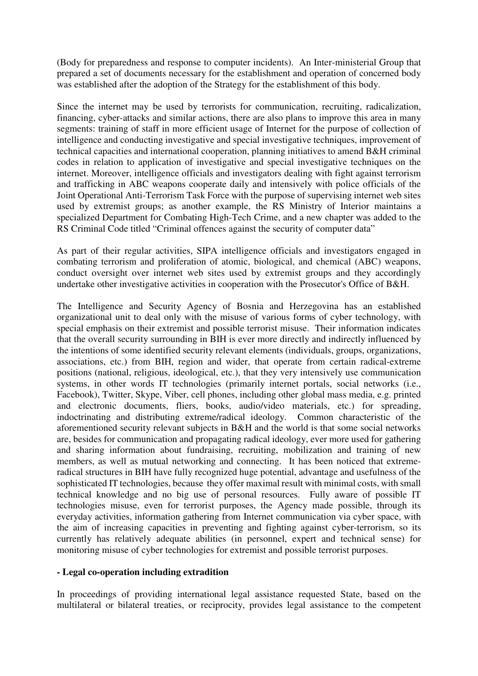(Body for preparedness and response to computer incidents). An Inter-ministerial Group that prepared a set of documents necessary for the establishment and operation of concerned body was established after the adoption of the Strategy for the establishment of this body.

Since the internet may be used by terrorists for communication, recruiting, radicalization, financing, cyber-attacks and similar actions, there are also plans to improve this area in many segments: training of staff in more efficient usage of Internet for the purpose of collection of intelligence and conducting investigative and special investigative techniques, improvement of technical capacities and international cooperation, planning initiatives to amend B&H criminal codes in relation to application of investigative and special investigative techniques on the internet. Moreover, intelligence officials and investigators dealing with fight against terrorism and trafficking in ABC weapons cooperate daily and intensively with police officials of the Joint Operational Anti-Terrorism Task Force with the purpose of supervising internet web sites used by extremist groups; as another example, the RS Ministry of Interior maintains a specialized Department for Combating High-Tech Crime, and a new chapter was added to the RS Criminal Code titled "Criminal offences against the security of computer data"

As part of their regular activities, SIPA intelligence officials and investigators engaged in combating terrorism and proliferation of atomic, biological, and chemical (ABC) weapons, conduct oversight over internet web sites used by extremist groups and they accordingly undertake other investigative activities in cooperation with the Prosecutor's Office of B&H.

The Intelligence and Security Agency of Bosnia and Herzegovina has an established organizational unit to deal only with the misuse of various forms of cyber technology, with special emphasis on their extremist and possible terrorist misuse. Their information indicates that the overall security surrounding in BIH is ever more directly and indirectly influenced by the intentions of some identified security relevant elements (individuals, groups, organizations, associations, etc.) from BIH, region and wider, that operate from certain radical-extreme positions (national, religious, ideological, etc.), that they very intensively use communication systems, in other words IT technologies (primarily internet portals, social networks (i.e., Facebook), Twitter, Skype, Viber, cell phones, including other global mass media, e.g. printed and electronic documents, fliers, books, audio/video materials, etc.) for spreading, indoctrinating and distributing extreme/radical ideology. Common characteristic of the aforementioned security relevant subjects in B&H and the world is that some social networks are, besides for communication and propagating radical ideology, ever more used for gathering and sharing information about fundraising, recruiting, mobilization and training of new members, as well as mutual networking and connecting. It has been noticed that extremeradical structures in BIH have fully recognized huge potential, advantage and usefulness of the sophisticated IT technologies, because they offer maximal result with minimal costs, with small technical knowledge and no big use of personal resources. Fully aware of possible IT technologies misuse, even for terrorist purposes, the Agency made possible, through its everyday activities, information gathering from Internet communication via cyber space, with the aim of increasing capacities in preventing and fighting against cyber-terrorism, so its currently has relatively adequate abilities (in personnel, expert and technical sense) for monitoring misuse of cyber technologies for extremist and possible terrorist purposes.

# **- Legal co-operation including extradition**

In proceedings of providing international legal assistance requested State, based on the multilateral or bilateral treaties, or reciprocity, provides legal assistance to the competent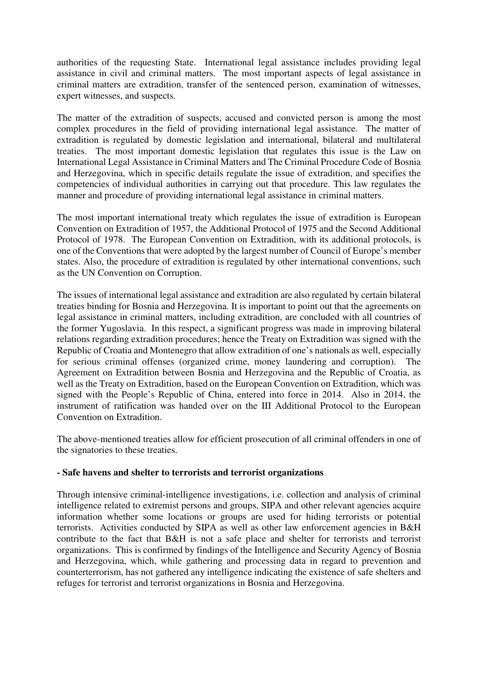authorities of the requesting State. International legal assistance includes providing legal assistance in civil and criminal matters. The most important aspects of legal assistance in criminal matters are extradition, transfer of the sentenced person, examination of witnesses, expert witnesses, and suspects.

The matter of the extradition of suspects, accused and convicted person is among the most complex procedures in the field of providing international legal assistance. The matter of extradition is regulated by domestic legislation and international, bilateral and multilateral treaties. The most important domestic legislation that regulates this issue is the Law on International Legal Assistance in Criminal Matters and The Criminal Procedure Code of Bosnia and Herzegovina, which in specific details regulate the issue of extradition, and specifies the competencies of individual authorities in carrying out that procedure. This law regulates the manner and procedure of providing international legal assistance in criminal matters.

The most important international treaty which regulates the issue of extradition is European Convention on Extradition of 1957, the Additional Protocol of 1975 and the Second Additional Protocol of 1978. The European Convention on Extradition, with its additional protocols, is one of the Conventions that were adopted by the largest number of Council of Europe's member states. Also, the procedure of extradition is regulated by other international conventions, such as the UN Convention on Corruption.

The issues of international legal assistance and extradition are also regulated by certain bilateral treaties binding for Bosnia and Herzegovina. It is important to point out that the agreements on legal assistance in criminal matters, including extradition, are concluded with all countries of the former Yugoslavia. In this respect, a significant progress was made in improving bilateral relations regarding extradition procedures; hence the Treaty on Extradition was signed with the Republic of Croatia and Montenegro that allow extradition of one's nationals as well, especially for serious criminal offenses (organized crime, money laundering and corruption). The Agreement on Extradition between Bosnia and Herzegovina and the Republic of Croatia, as well as the Treaty on Extradition, based on the European Convention on Extradition, which was signed with the People's Republic of China, entered into force in 2014. Also in 2014, the instrument of ratification was handed over on the III Additional Protocol to the European Convention on Extradition.

The above-mentioned treaties allow for efficient prosecution of all criminal offenders in one of the signatories to these treaties.

### **- Safe havens and shelter to terrorists and terrorist organizations**

Through intensive criminal-intelligence investigations, i.e. collection and analysis of criminal intelligence related to extremist persons and groups, SIPA and other relevant agencies acquire information whether some locations or groups are used for hiding terrorists or potential terrorists. Activities conducted by SIPA as well as other law enforcement agencies in B&H contribute to the fact that B&H is not a safe place and shelter for terrorists and terrorist organizations. This is confirmed by findings of the Intelligence and Security Agency of Bosnia and Herzegovina, which, while gathering and processing data in regard to prevention and counterterrorism, has not gathered any intelligence indicating the existence of safe shelters and refuges for terrorist and terrorist organizations in Bosnia and Herzegovina.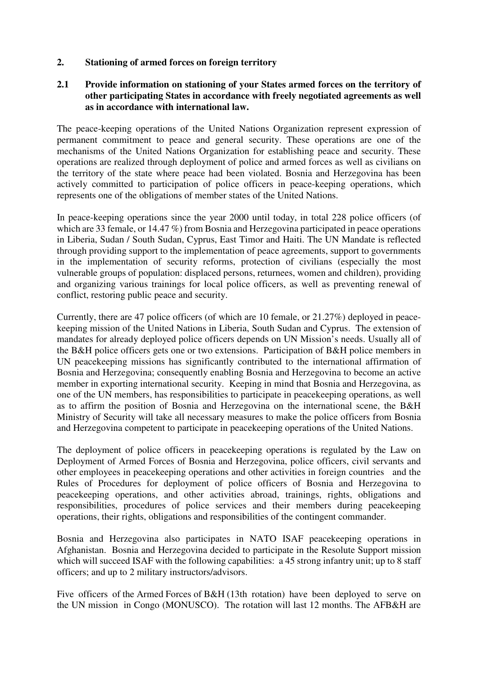**2. Stationing of armed forces on foreign territory** 

## **2.1 Provide information on stationing of your States armed forces on the territory of other participating States in accordance with freely negotiated agreements as well as in accordance with international law.**

The peace-keeping operations of the United Nations Organization represent expression of permanent commitment to peace and general security. These operations are one of the mechanisms of the United Nations Organization for establishing peace and security. These operations are realized through deployment of police and armed forces as well as civilians on the territory of the state where peace had been violated. Bosnia and Herzegovina has been actively committed to participation of police officers in peace-keeping operations, which represents one of the obligations of member states of the United Nations.

In peace-keeping operations since the year 2000 until today, in total 228 police officers (of which are 33 female, or 14.47 %) from Bosnia and Herzegovina participated in peace operations in Liberia, Sudan / South Sudan, Cyprus, East Timor and Haiti. The UN Mandate is reflected through providing support to the implementation of peace agreements, support to governments in the implementation of security reforms, protection of civilians (especially the most vulnerable groups of population: displaced persons, returnees, women and children), providing and organizing various trainings for local police officers, as well as preventing renewal of conflict, restoring public peace and security.

Currently, there are 47 police officers (of which are 10 female, or 21.27%) deployed in peacekeeping mission of the United Nations in Liberia, South Sudan and Cyprus. The extension of mandates for already deployed police officers depends on UN Mission's needs. Usually all of the B&H police officers gets one or two extensions. Participation of B&H police members in UN peacekeeping missions has significantly contributed to the international affirmation of Bosnia and Herzegovina; consequently enabling Bosnia and Herzegovina to become an active member in exporting international security. Keeping in mind that Bosnia and Herzegovina, as one of the UN members, has responsibilities to participate in peacekeeping operations, as well as to affirm the position of Bosnia and Herzegovina on the international scene, the B&H Ministry of Security will take all necessary measures to make the police officers from Bosnia and Herzegovina competent to participate in peacekeeping operations of the United Nations.

The deployment of police officers in peacekeeping operations is regulated by the Law on Deployment of Armed Forces of Bosnia and Herzegovina, police officers, civil servants and other employees in peacekeeping operations and other activities in foreign countries and the Rules of Procedures for deployment of police officers of Bosnia and Herzegovina to peacekeeping operations, and other activities abroad, trainings, rights, obligations and responsibilities, procedures of police services and their members during peacekeeping operations, their rights, obligations and responsibilities of the contingent commander.

Bosnia and Herzegovina also participates in NATO ISAF peacekeeping operations in Afghanistan. Bosnia and Herzegovina decided to participate in the Resolute Support mission which will succeed ISAF with the following capabilities: a 45 strong infantry unit; up to 8 staff officers; and up to 2 military instructors/advisors.

Five officers of the Armed Forces of B&H (13th rotation) have been deployed to serve on the UN mission in Congo (MONUSCO). The rotation will last 12 months. The AFB&H are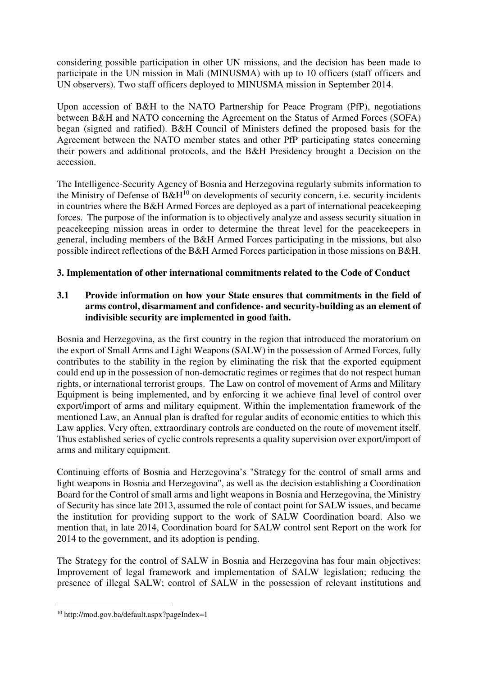considering possible participation in other UN missions, and the decision has been made to participate in the UN mission in Mali (MINUSMA) with up to 10 officers (staff officers and UN observers). Two staff officers deployed to MINUSMA mission in September 2014.

Upon accession of B&H to the NATO Partnership for Peace Program (PfP), negotiations between B&H and NATO concerning the Agreement on the Status of Armed Forces (SOFA) began (signed and ratified). B&H Council of Ministers defined the proposed basis for the Agreement between the NATO member states and other PfP participating states concerning their powers and additional protocols, and the B&H Presidency brought a Decision on the accession.

The Intelligence-Security Agency of Bosnia and Herzegovina regularly submits information to the Ministry of Defense of  $B\&H^{10}$  on developments of security concern, i.e. security incidents in countries where the B&H Armed Forces are deployed as a part of international peacekeeping forces. The purpose of the information is to objectively analyze and assess security situation in peacekeeping mission areas in order to determine the threat level for the peacekeepers in general, including members of the B&H Armed Forces participating in the missions, but also possible indirect reflections of the B&H Armed Forces participation in those missions on B&H.

# **3. Implementation of other international commitments related to the Code of Conduct**

# **3.1 Provide information on how your State ensures that commitments in the field of arms control, disarmament and confidence- and security-building as an element of indivisible security are implemented in good faith.**

Bosnia and Herzegovina, as the first country in the region that introduced the moratorium on the export of Small Arms and Light Weapons (SALW) in the possession of Armed Forces, fully contributes to the stability in the region by eliminating the risk that the exported equipment could end up in the possession of non-democratic regimes or regimes that do not respect human rights, or international terrorist groups. The Law on control of movement of Arms and Military Equipment is being implemented, and by enforcing it we achieve final level of control over export/import of arms and military equipment. Within the implementation framework of the mentioned Law, an Annual plan is drafted for regular audits of economic entities to which this Law applies. Very often, extraordinary controls are conducted on the route of movement itself. Thus established series of cyclic controls represents a quality supervision over export/import of arms and military equipment.

Continuing efforts of Bosnia and Herzegovina's "Strategy for the control of small arms and light weapons in Bosnia and Herzegovina", as well as the decision establishing a Coordination Board for the Control of small arms and light weapons in Bosnia and Herzegovina, the Ministry of Security has since late 2013, assumed the role of contact point for SALW issues, and became the institution for providing support to the work of SALW Coordination board. Also we mention that, in late 2014, Coordination board for SALW control sent Report on the work for 2014 to the government, and its adoption is pending.

The Strategy for the control of SALW in Bosnia and Herzegovina has four main objectives: Improvement of legal framework and implementation of SALW legislation; reducing the presence of illegal SALW; control of SALW in the possession of relevant institutions and

<u>.</u>

<sup>10</sup> http://mod.gov.ba/default.aspx?pageIndex=1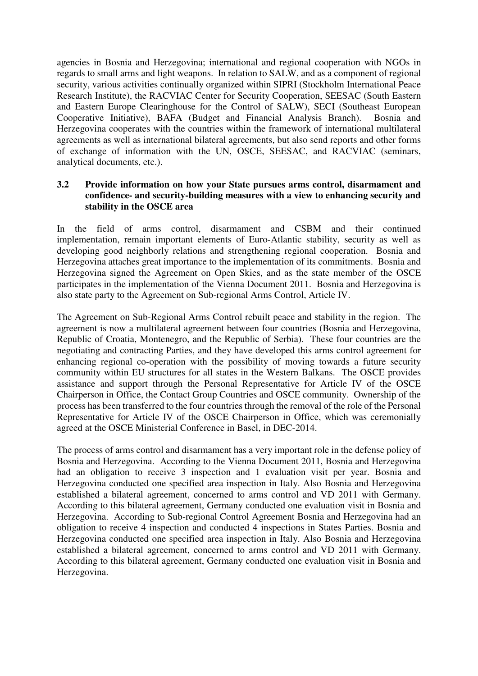agencies in Bosnia and Herzegovina; international and regional cooperation with NGOs in regards to small arms and light weapons. In relation to SALW, and as a component of regional security, various activities continually organized within SIPRI (Stockholm International Peace Research Institute), the RACVIAC Center for Security Cooperation, SEESAC (South Eastern and Eastern Europe Clearinghouse for the Control of SALW), SECI (Southeast European Cooperative Initiative), BAFA (Budget and Financial Analysis Branch). Bosnia and Herzegovina cooperates with the countries within the framework of international multilateral agreements as well as international bilateral agreements, but also send reports and other forms of exchange of information with the UN, OSCE, SEESAC, and RACVIAC (seminars, analytical documents, etc.).

## **3.2 Provide information on how your State pursues arms control, disarmament and confidence- and security-building measures with a view to enhancing security and stability in the OSCE area**

In the field of arms control, disarmament and CSBM and their continued implementation, remain important elements of Euro-Atlantic stability, security as well as developing good neighborly relations and strengthening regional cooperation. Bosnia and Herzegovina attaches great importance to the implementation of its commitments. Bosnia and Herzegovina signed the Agreement on Open Skies, and as the state member of the OSCE participates in the implementation of the Vienna Document 2011. Bosnia and Herzegovina is also state party to the Agreement on Sub-regional Arms Control, Article IV.

The Agreement on Sub-Regional Arms Control rebuilt peace and stability in the region. The agreement is now a multilateral agreement between four countries (Bosnia and Herzegovina, Republic of Croatia, Montenegro, and the Republic of Serbia). These four countries are the negotiating and contracting Parties, and they have developed this arms control agreement for enhancing regional co-operation with the possibility of moving towards a future security community within EU structures for all states in the Western Balkans. The OSCE provides assistance and support through the Personal Representative for Article IV of the OSCE Chairperson in Office, the Contact Group Countries and OSCE community. Ownership of the process has been transferred to the four countries through the removal of the role of the Personal Representative for Article IV of the OSCE Chairperson in Office, which was ceremonially agreed at the OSCE Ministerial Conference in Basel, in DEC-2014.

The process of arms control and disarmament has a very important role in the defense policy of Bosnia and Herzegovina. According to the Vienna Document 2011, Bosnia and Herzegovina had an obligation to receive 3 inspection and 1 evaluation visit per year. Bosnia and Herzegovina conducted one specified area inspection in Italy. Also Bosnia and Herzegovina established a bilateral agreement, concerned to arms control and VD 2011 with Germany. According to this bilateral agreement, Germany conducted one evaluation visit in Bosnia and Herzegovina. According to Sub-regional Control Agreement Bosnia and Herzegovina had an obligation to receive 4 inspection and conducted 4 inspections in States Parties. Bosnia and Herzegovina conducted one specified area inspection in Italy. Also Bosnia and Herzegovina established a bilateral agreement, concerned to arms control and VD 2011 with Germany. According to this bilateral agreement, Germany conducted one evaluation visit in Bosnia and Herzegovina.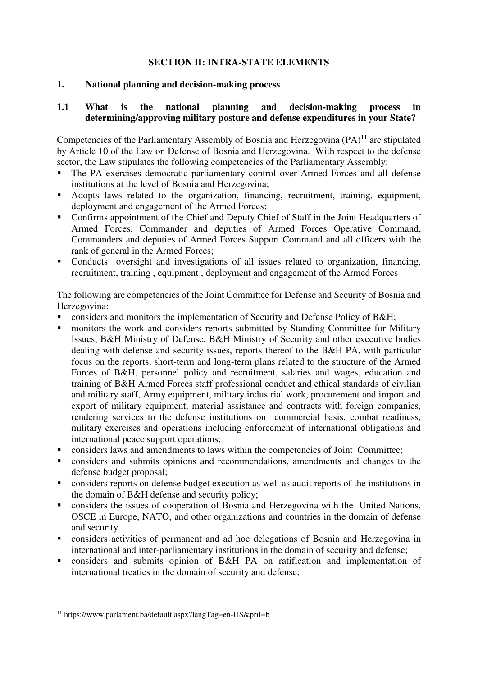# **SECTION II: INTRA-STATE ELEMENTS**

# **1. National planning and decision-making process**

## **1.1 What is the national planning and decision-making process in determining/approving military posture and defense expenditures in your State?**

Competencies of the Parliamentary Assembly of Bosnia and Herzegovina (PA)<sup>11</sup> are stipulated by Article 10 of the Law on Defense of Bosnia and Herzegovina. With respect to the defense sector, the Law stipulates the following competencies of the Parliamentary Assembly:

- The PA exercises democratic parliamentary control over Armed Forces and all defense institutions at the level of Bosnia and Herzegovina;
- Adopts laws related to the organization, financing, recruitment, training, equipment, deployment and engagement of the Armed Forces;
- Confirms appointment of the Chief and Deputy Chief of Staff in the Joint Headquarters of Armed Forces, Commander and deputies of Armed Forces Operative Command, Commanders and deputies of Armed Forces Support Command and all officers with the rank of general in the Armed Forces;
- Conducts oversight and investigations of all issues related to organization, financing, recruitment, training , equipment , deployment and engagement of the Armed Forces

The following are competencies of the Joint Committee for Defense and Security of Bosnia and Herzegovina:

- considers and monitors the implementation of Security and Defense Policy of B&H;
- **EXECUTE:** monitors the work and considers reports submitted by Standing Committee for Military Issues, B&H Ministry of Defense, B&H Ministry of Security and other executive bodies dealing with defense and security issues, reports thereof to the B&H PA, with particular focus on the reports, short-term and long-term plans related to the structure of the Armed Forces of B&H, personnel policy and recruitment, salaries and wages, education and training of B&H Armed Forces staff professional conduct and ethical standards of civilian and military staff, Army equipment, military industrial work, procurement and import and export of military equipment, material assistance and contracts with foreign companies, rendering services to the defense institutions on commercial basis, combat readiness, military exercises and operations including enforcement of international obligations and international peace support operations;
- considers laws and amendments to laws within the competencies of Joint Committee;
- considers and submits opinions and recommendations, amendments and changes to the defense budget proposal;
- considers reports on defense budget execution as well as audit reports of the institutions in the domain of B&H defense and security policy;
- considers the issues of cooperation of Bosnia and Herzegovina with the United Nations, OSCE in Europe, NATO, and other organizations and countries in the domain of defense and security
- considers activities of permanent and ad hoc delegations of Bosnia and Herzegovina in international and inter-parliamentary institutions in the domain of security and defense;
- considers and submits opinion of B&H PA on ratification and implementation of international treaties in the domain of security and defense;

<sup>&</sup>lt;u>.</u> 11 https://www.parlament.ba/default.aspx?langTag=en-US&pril=b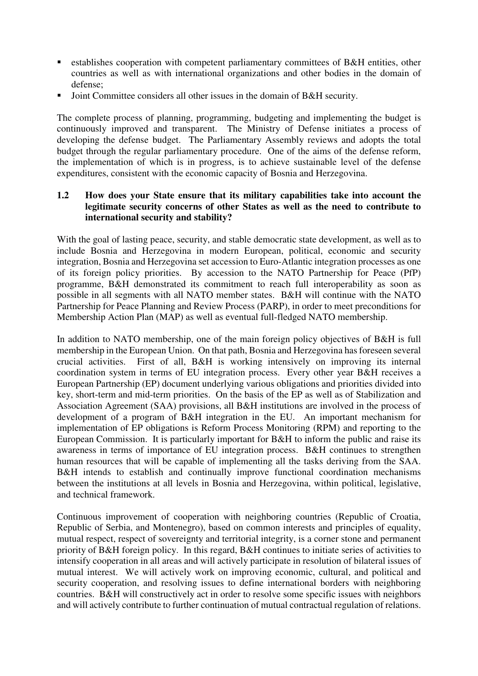- **Example 1** establishes cooperation with competent parliamentary committees of B&H entities, other countries as well as with international organizations and other bodies in the domain of defense;
- Joint Committee considers all other issues in the domain of B&H security.

The complete process of planning, programming, budgeting and implementing the budget is continuously improved and transparent. The Ministry of Defense initiates a process of developing the defense budget. The Parliamentary Assembly reviews and adopts the total budget through the regular parliamentary procedure. One of the aims of the defense reform, the implementation of which is in progress, is to achieve sustainable level of the defense expenditures, consistent with the economic capacity of Bosnia and Herzegovina.

## **1.2 How does your State ensure that its military capabilities take into account the legitimate security concerns of other States as well as the need to contribute to international security and stability?**

With the goal of lasting peace, security, and stable democratic state development, as well as to include Bosnia and Herzegovina in modern European, political, economic and security integration, Bosnia and Herzegovina set accession to Euro-Atlantic integration processes as one of its foreign policy priorities. By accession to the NATO Partnership for Peace (PfP) programme, B&H demonstrated its commitment to reach full interoperability as soon as possible in all segments with all NATO member states. B&H will continue with the NATO Partnership for Peace Planning and Review Process (PARP), in order to meet preconditions for Membership Action Plan (MAP) as well as eventual full-fledged NATO membership.

In addition to NATO membership, one of the main foreign policy objectives of B&H is full membership in the European Union. On that path, Bosnia and Herzegovina has foreseen several crucial activities. First of all, B&H is working intensively on improving its internal coordination system in terms of EU integration process. Every other year B&H receives a European Partnership (EP) document underlying various obligations and priorities divided into key, short-term and mid-term priorities. On the basis of the EP as well as of Stabilization and Association Agreement (SAA) provisions, all B&H institutions are involved in the process of development of a program of B&H integration in the EU. An important mechanism for implementation of EP obligations is Reform Process Monitoring (RPM) and reporting to the European Commission. It is particularly important for B&H to inform the public and raise its awareness in terms of importance of EU integration process. B&H continues to strengthen human resources that will be capable of implementing all the tasks deriving from the SAA. B&H intends to establish and continually improve functional coordination mechanisms between the institutions at all levels in Bosnia and Herzegovina, within political, legislative, and technical framework.

Continuous improvement of cooperation with neighboring countries (Republic of Croatia, Republic of Serbia, and Montenegro), based on common interests and principles of equality, mutual respect, respect of sovereignty and territorial integrity, is a corner stone and permanent priority of B&H foreign policy. In this regard, B&H continues to initiate series of activities to intensify cooperation in all areas and will actively participate in resolution of bilateral issues of mutual interest. We will actively work on improving economic, cultural, and political and security cooperation, and resolving issues to define international borders with neighboring countries. B&H will constructively act in order to resolve some specific issues with neighbors and will actively contribute to further continuation of mutual contractual regulation of relations.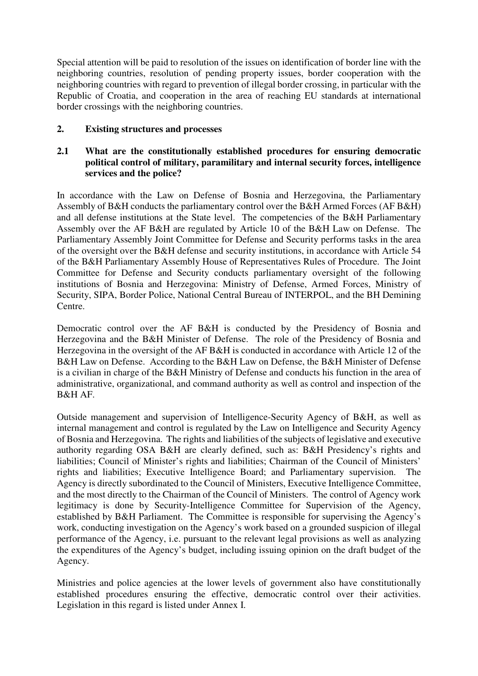Special attention will be paid to resolution of the issues on identification of border line with the neighboring countries, resolution of pending property issues, border cooperation with the neighboring countries with regard to prevention of illegal border crossing, in particular with the Republic of Croatia, and cooperation in the area of reaching EU standards at international border crossings with the neighboring countries.

# **2. Existing structures and processes**

# **2.1 What are the constitutionally established procedures for ensuring democratic political control of military, paramilitary and internal security forces, intelligence services and the police?**

In accordance with the Law on Defense of Bosnia and Herzegovina, the Parliamentary Assembly of B&H conducts the parliamentary control over the B&H Armed Forces (AF B&H) and all defense institutions at the State level. The competencies of the B&H Parliamentary Assembly over the AF B&H are regulated by Article 10 of the B&H Law on Defense. The Parliamentary Assembly Joint Committee for Defense and Security performs tasks in the area of the oversight over the B&H defense and security institutions, in accordance with Article 54 of the B&H Parliamentary Assembly House of Representatives Rules of Procedure. The Joint Committee for Defense and Security conducts parliamentary oversight of the following institutions of Bosnia and Herzegovina: Ministry of Defense, Armed Forces, Ministry of Security, SIPA, Border Police, National Central Bureau of INTERPOL, and the BH Demining Centre.

Democratic control over the AF B&H is conducted by the Presidency of Bosnia and Herzegovina and the B&H Minister of Defense. The role of the Presidency of Bosnia and Herzegovina in the oversight of the AF B&H is conducted in accordance with Article 12 of the B&H Law on Defense. According to the B&H Law on Defense, the B&H Minister of Defense is a civilian in charge of the B&H Ministry of Defense and conducts his function in the area of administrative, organizational, and command authority as well as control and inspection of the B&H AF.

Outside management and supervision of Intelligence-Security Agency of B&H, as well as internal management and control is regulated by the Law on Intelligence and Security Agency of Bosnia and Herzegovina. The rights and liabilities of the subjects of legislative and executive authority regarding OSA B&H are clearly defined, such as: B&H Presidency's rights and liabilities; Council of Minister's rights and liabilities; Chairman of the Council of Ministers' rights and liabilities; Executive Intelligence Board; and Parliamentary supervision. The Agency is directly subordinated to the Council of Ministers, Executive Intelligence Committee, and the most directly to the Chairman of the Council of Ministers. The control of Agency work legitimacy is done by Security-Intelligence Committee for Supervision of the Agency, established by B&H Parliament. The Committee is responsible for supervising the Agency's work, conducting investigation on the Agency's work based on a grounded suspicion of illegal performance of the Agency, i.e. pursuant to the relevant legal provisions as well as analyzing the expenditures of the Agency's budget, including issuing opinion on the draft budget of the Agency.

Ministries and police agencies at the lower levels of government also have constitutionally established procedures ensuring the effective, democratic control over their activities. Legislation in this regard is listed under Annex I.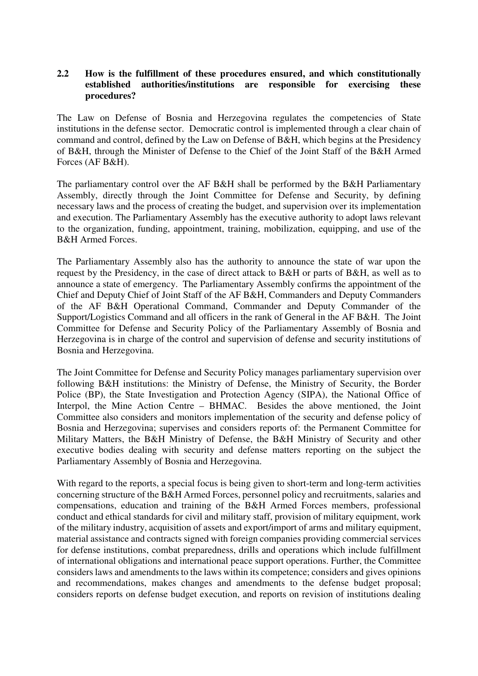## **2.2 How is the fulfillment of these procedures ensured, and which constitutionally established authorities/institutions are responsible for exercising these procedures?**

The Law on Defense of Bosnia and Herzegovina regulates the competencies of State institutions in the defense sector. Democratic control is implemented through a clear chain of command and control, defined by the Law on Defense of B&H, which begins at the Presidency of B&H, through the Minister of Defense to the Chief of the Joint Staff of the B&H Armed Forces (AF B&H).

The parliamentary control over the AF B&H shall be performed by the B&H Parliamentary Assembly, directly through the Joint Committee for Defense and Security, by defining necessary laws and the process of creating the budget, and supervision over its implementation and execution. The Parliamentary Assembly has the executive authority to adopt laws relevant to the organization, funding, appointment, training, mobilization, equipping, and use of the B&H Armed Forces.

The Parliamentary Assembly also has the authority to announce the state of war upon the request by the Presidency, in the case of direct attack to B&H or parts of B&H, as well as to announce a state of emergency. The Parliamentary Assembly confirms the appointment of the Chief and Deputy Chief of Joint Staff of the AF B&H, Commanders and Deputy Commanders of the AF B&H Operational Command, Commander and Deputy Commander of the Support/Logistics Command and all officers in the rank of General in the AF B&H. The Joint Committee for Defense and Security Policy of the Parliamentary Assembly of Bosnia and Herzegovina is in charge of the control and supervision of defense and security institutions of Bosnia and Herzegovina.

The Joint Committee for Defense and Security Policy manages parliamentary supervision over following B&H institutions: the Ministry of Defense, the Ministry of Security, the Border Police (BP), the State Investigation and Protection Agency (SIPA), the National Office of Interpol, the Mine Action Centre – BHMAC. Besides the above mentioned, the Joint Committee also considers and monitors implementation of the security and defense policy of Bosnia and Herzegovina; supervises and considers reports of: the Permanent Committee for Military Matters, the B&H Ministry of Defense, the B&H Ministry of Security and other executive bodies dealing with security and defense matters reporting on the subject the Parliamentary Assembly of Bosnia and Herzegovina.

With regard to the reports, a special focus is being given to short-term and long-term activities concerning structure of the B&H Armed Forces, personnel policy and recruitments, salaries and compensations, education and training of the B&H Armed Forces members, professional conduct and ethical standards for civil and military staff, provision of military equipment, work of the military industry, acquisition of assets and export/import of arms and military equipment, material assistance and contracts signed with foreign companies providing commercial services for defense institutions, combat preparedness, drills and operations which include fulfillment of international obligations and international peace support operations. Further, the Committee considers laws and amendments to the laws within its competence; considers and gives opinions and recommendations, makes changes and amendments to the defense budget proposal; considers reports on defense budget execution, and reports on revision of institutions dealing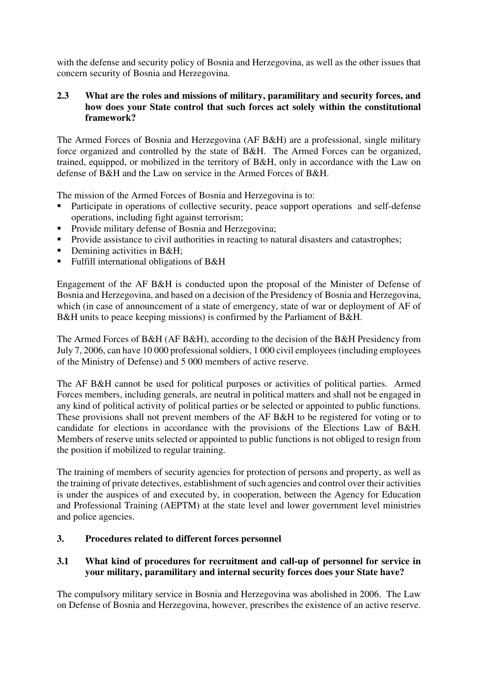with the defense and security policy of Bosnia and Herzegovina, as well as the other issues that concern security of Bosnia and Herzegovina.

# **2.3 What are the roles and missions of military, paramilitary and security forces, and how does your State control that such forces act solely within the constitutional framework?**

The Armed Forces of Bosnia and Herzegovina (AF B&H) are a professional, single military force organized and controlled by the state of B&H. The Armed Forces can be organized, trained, equipped, or mobilized in the territory of B&H, only in accordance with the Law on defense of B&H and the Law on service in the Armed Forces of B&H.

The mission of the Armed Forces of Bosnia and Herzegovina is to:

- Participate in operations of collective security, peace support operations and self-defense operations, including fight against terrorism;
- Provide military defense of Bosnia and Herzegovina;
- **Provide assistance to civil authorities in reacting to natural disasters and catastrophes;**
- Demining activities in  $B&H$ :
- Fulfill international obligations of B&H

Engagement of the AF B&H is conducted upon the proposal of the Minister of Defense of Bosnia and Herzegovina, and based on a decision of the Presidency of Bosnia and Herzegovina, which (in case of announcement of a state of emergency, state of war or deployment of AF of B&H units to peace keeping missions) is confirmed by the Parliament of B&H.

The Armed Forces of B&H (AF B&H), according to the decision of the B&H Presidency from July 7, 2006, can have 10 000 professional soldiers, 1 000 civil employees (including employees of the Ministry of Defense) and 5 000 members of active reserve.

The AF B&H cannot be used for political purposes or activities of political parties. Armed Forces members, including generals, are neutral in political matters and shall not be engaged in any kind of political activity of political parties or be selected or appointed to public functions. These provisions shall not prevent members of the AF B&H to be registered for voting or to candidate for elections in accordance with the provisions of the Elections Law of B&H. Members of reserve units selected or appointed to public functions is not obliged to resign from the position if mobilized to regular training.

The training of members of security agencies for protection of persons and property, as well as the training of private detectives, establishment of such agencies and control over their activities is under the auspices of and executed by, in cooperation, between the Agency for Education and Professional Training (AEPTM) at the state level and lower government level ministries and police agencies.

# **3. Procedures related to different forces personnel**

# **3.1 What kind of procedures for recruitment and call-up of personnel for service in your military, paramilitary and internal security forces does your State have?**

The compulsory military service in Bosnia and Herzegovina was abolished in 2006. The Law on Defense of Bosnia and Herzegovina, however, prescribes the existence of an active reserve.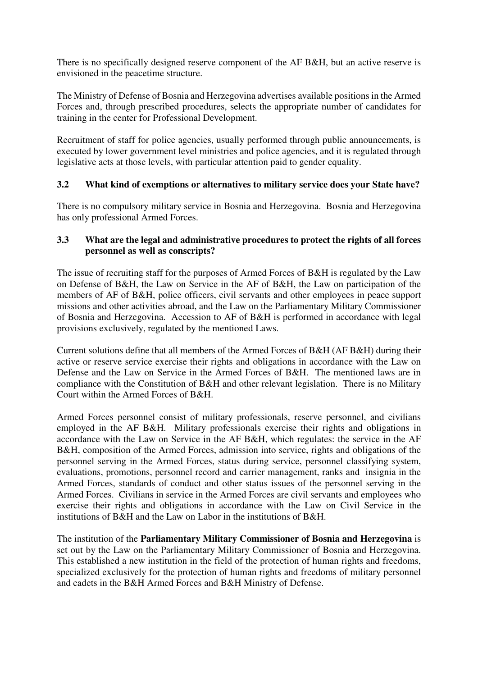There is no specifically designed reserve component of the AF B&H, but an active reserve is envisioned in the peacetime structure.

The Ministry of Defense of Bosnia and Herzegovina advertises available positions in the Armed Forces and, through prescribed procedures, selects the appropriate number of candidates for training in the center for Professional Development.

Recruitment of staff for police agencies, usually performed through public announcements, is executed by lower government level ministries and police agencies, and it is regulated through legislative acts at those levels, with particular attention paid to gender equality.

# **3.2 What kind of exemptions or alternatives to military service does your State have?**

There is no compulsory military service in Bosnia and Herzegovina. Bosnia and Herzegovina has only professional Armed Forces.

## **3.3 What are the legal and administrative procedures to protect the rights of all forces personnel as well as conscripts?**

The issue of recruiting staff for the purposes of Armed Forces of B&H is regulated by the Law on Defense of B&H, the Law on Service in the AF of B&H, the Law on participation of the members of AF of B&H, police officers, civil servants and other employees in peace support missions and other activities abroad, and the Law on the Parliamentary Military Commissioner of Bosnia and Herzegovina. Accession to AF of B&H is performed in accordance with legal provisions exclusively, regulated by the mentioned Laws.

Current solutions define that all members of the Armed Forces of B&H (AF B&H) during their active or reserve service exercise their rights and obligations in accordance with the Law on Defense and the Law on Service in the Armed Forces of B&H. The mentioned laws are in compliance with the Constitution of B&H and other relevant legislation. There is no Military Court within the Armed Forces of B&H.

Armed Forces personnel consist of military professionals, reserve personnel, and civilians employed in the AF B&H. Military professionals exercise their rights and obligations in accordance with the Law on Service in the AF B&H, which regulates: the service in the AF B&H, composition of the Armed Forces, admission into service, rights and obligations of the personnel serving in the Armed Forces, status during service, personnel classifying system, evaluations, promotions, personnel record and carrier management, ranks and insignia in the Armed Forces, standards of conduct and other status issues of the personnel serving in the Armed Forces. Civilians in service in the Armed Forces are civil servants and employees who exercise their rights and obligations in accordance with the Law on Civil Service in the institutions of  $B\&H$  and the Law on Labor in the institutions of  $B\&H$ .

The institution of the **Parliamentary Military Commissioner of Bosnia and Herzegovina** is set out by the Law on the Parliamentary Military Commissioner of Bosnia and Herzegovina. This established a new institution in the field of the protection of human rights and freedoms, specialized exclusively for the protection of human rights and freedoms of military personnel and cadets in the B&H Armed Forces and B&H Ministry of Defense.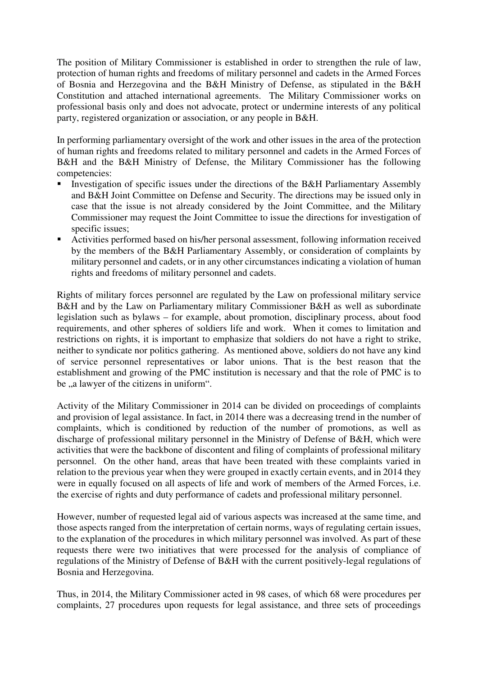The position of Military Commissioner is established in order to strengthen the rule of law, protection of human rights and freedoms of military personnel and cadets in the Armed Forces of Bosnia and Herzegovina and the B&H Ministry of Defense, as stipulated in the B&H Constitution and attached international agreements. The Military Commissioner works on professional basis only and does not advocate, protect or undermine interests of any political party, registered organization or association, or any people in B&H.

In performing parliamentary oversight of the work and other issues in the area of the protection of human rights and freedoms related to military personnel and cadets in the Armed Forces of B&H and the B&H Ministry of Defense, the Military Commissioner has the following competencies:

- Investigation of specific issues under the directions of the B&H Parliamentary Assembly and B&H Joint Committee on Defense and Security. The directions may be issued only in case that the issue is not already considered by the Joint Committee, and the Military Commissioner may request the Joint Committee to issue the directions for investigation of specific issues;
- Activities performed based on his/her personal assessment, following information received by the members of the B&H Parliamentary Assembly, or consideration of complaints by military personnel and cadets, or in any other circumstances indicating a violation of human rights and freedoms of military personnel and cadets.

Rights of military forces personnel are regulated by the Law on professional military service B&H and by the Law on Parliamentary military Commissioner B&H as well as subordinate legislation such as bylaws – for example, about promotion, disciplinary process, about food requirements, and other spheres of soldiers life and work. When it comes to limitation and restrictions on rights, it is important to emphasize that soldiers do not have a right to strike, neither to syndicate nor politics gathering. As mentioned above, soldiers do not have any kind of service personnel representatives or labor unions. That is the best reason that the establishment and growing of the PMC institution is necessary and that the role of PMC is to be , a lawyer of the citizens in uniform".

Activity of the Military Commissioner in 2014 can be divided on proceedings of complaints and provision of legal assistance. In fact, in 2014 there was a decreasing trend in the number of complaints, which is conditioned by reduction of the number of promotions, as well as discharge of professional military personnel in the Ministry of Defense of B&H, which were activities that were the backbone of discontent and filing of complaints of professional military personnel. On the other hand, areas that have been treated with these complaints varied in relation to the previous year when they were grouped in exactly certain events, and in 2014 they were in equally focused on all aspects of life and work of members of the Armed Forces, i.e. the exercise of rights and duty performance of cadets and professional military personnel.

However, number of requested legal aid of various aspects was increased at the same time, and those aspects ranged from the interpretation of certain norms, ways of regulating certain issues, to the explanation of the procedures in which military personnel was involved. As part of these requests there were two initiatives that were processed for the analysis of compliance of regulations of the Ministry of Defense of B&H with the current positively-legal regulations of Bosnia and Herzegovina.

Thus, in 2014, the Military Commissioner acted in 98 cases, of which 68 were procedures per complaints, 27 procedures upon requests for legal assistance, and three sets of proceedings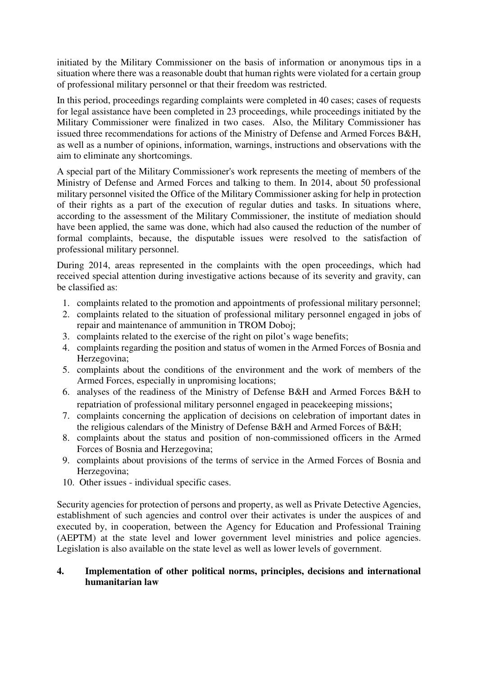initiated by the Military Commissioner on the basis of information or anonymous tips in a situation where there was a reasonable doubt that human rights were violated for a certain group of professional military personnel or that their freedom was restricted.

In this period, proceedings regarding complaints were completed in 40 cases; cases of requests for legal assistance have been completed in 23 proceedings, while proceedings initiated by the Military Commissioner were finalized in two cases. Also, the Military Commissioner has issued three recommendations for actions of the Ministry of Defense and Armed Forces B&H, as well as a number of opinions, information, warnings, instructions and observations with the aim to eliminate any shortcomings.

A special part of the Military Commissioner's work represents the meeting of members of the Ministry of Defense and Armed Forces and talking to them. In 2014, about 50 professional military personnel visited the Office of the Military Commissioner asking for help in protection of their rights as a part of the execution of regular duties and tasks. In situations where, according to the assessment of the Military Commissioner, the institute of mediation should have been applied, the same was done, which had also caused the reduction of the number of formal complaints, because, the disputable issues were resolved to the satisfaction of professional military personnel.

During 2014, areas represented in the complaints with the open proceedings, which had received special attention during investigative actions because of its severity and gravity, can be classified as:

- 1. complaints related to the promotion and appointments of professional military personnel;
- 2. complaints related to the situation of professional military personnel engaged in jobs of repair and maintenance of ammunition in TROM Doboj;
- 3. complaints related to the exercise of the right on pilot's wage benefits;
- 4. complaints regarding the position and status of women in the Armed Forces of Bosnia and Herzegovina;
- 5. complaints about the conditions of the environment and the work of members of the Armed Forces, especially in unpromising locations;
- 6. analyses of the readiness of the Ministry of Defense B&H and Armed Forces B&H to repatriation of professional military personnel engaged in peacekeeping missions;
- 7. complaints concerning the application of decisions on celebration of important dates in the religious calendars of the Ministry of Defense B&H and Armed Forces of B&H;
- 8. complaints about the status and position of non-commissioned officers in the Armed Forces of Bosnia and Herzegovina;
- 9. complaints about provisions of the terms of service in the Armed Forces of Bosnia and Herzegovina;
- 10. Other issues individual specific cases.

Security agencies for protection of persons and property, as well as Private Detective Agencies, establishment of such agencies and control over their activates is under the auspices of and executed by, in cooperation, between the Agency for Education and Professional Training (AEPTM) at the state level and lower government level ministries and police agencies. Legislation is also available on the state level as well as lower levels of government.

## **4. Implementation of other political norms, principles, decisions and international humanitarian law**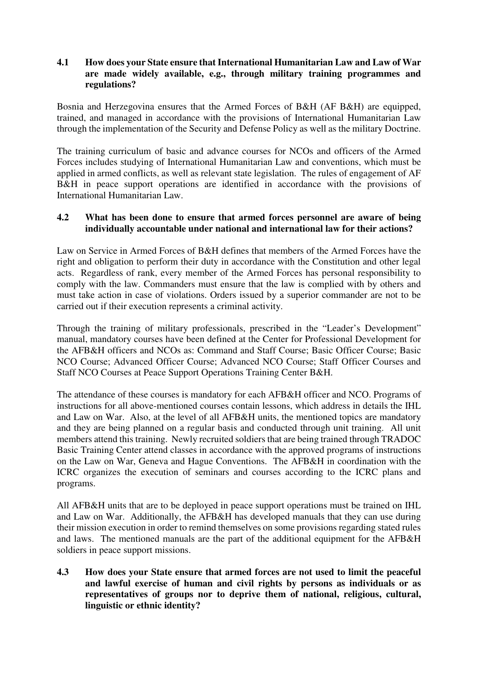# **4.1 How does your State ensure that International Humanitarian Law and Law of War are made widely available, e.g., through military training programmes and regulations?**

Bosnia and Herzegovina ensures that the Armed Forces of B&H (AF B&H) are equipped, trained, and managed in accordance with the provisions of International Humanitarian Law through the implementation of the Security and Defense Policy as well as the military Doctrine.

The training curriculum of basic and advance courses for NCOs and officers of the Armed Forces includes studying of International Humanitarian Law and conventions, which must be applied in armed conflicts, as well as relevant state legislation. The rules of engagement of AF B&H in peace support operations are identified in accordance with the provisions of International Humanitarian Law.

# **4.2 What has been done to ensure that armed forces personnel are aware of being individually accountable under national and international law for their actions?**

Law on Service in Armed Forces of B&H defines that members of the Armed Forces have the right and obligation to perform their duty in accordance with the Constitution and other legal acts. Regardless of rank, every member of the Armed Forces has personal responsibility to comply with the law. Commanders must ensure that the law is complied with by others and must take action in case of violations. Orders issued by a superior commander are not to be carried out if their execution represents a criminal activity.

Through the training of military professionals, prescribed in the "Leader's Development" manual, mandatory courses have been defined at the Center for Professional Development for the AFB&H officers and NCOs as: Command and Staff Course; Basic Officer Course; Basic NCO Course; Advanced Officer Course; Advanced NCO Course; Staff Officer Courses and Staff NCO Courses at Peace Support Operations Training Center B&H.

The attendance of these courses is mandatory for each AFB&H officer and NCO. Programs of instructions for all above-mentioned courses contain lessons, which address in details the IHL and Law on War. Also, at the level of all AFB&H units, the mentioned topics are mandatory and they are being planned on a regular basis and conducted through unit training. All unit members attend this training. Newly recruited soldiers that are being trained through TRADOC Basic Training Center attend classes in accordance with the approved programs of instructions on the Law on War, Geneva and Hague Conventions. The AFB&H in coordination with the ICRC organizes the execution of seminars and courses according to the ICRC plans and programs.

All AFB&H units that are to be deployed in peace support operations must be trained on IHL and Law on War. Additionally, the AFB&H has developed manuals that they can use during their mission execution in order to remind themselves on some provisions regarding stated rules and laws. The mentioned manuals are the part of the additional equipment for the AFB&H soldiers in peace support missions.

**4.3 How does your State ensure that armed forces are not used to limit the peaceful and lawful exercise of human and civil rights by persons as individuals or as representatives of groups nor to deprive them of national, religious, cultural, linguistic or ethnic identity?**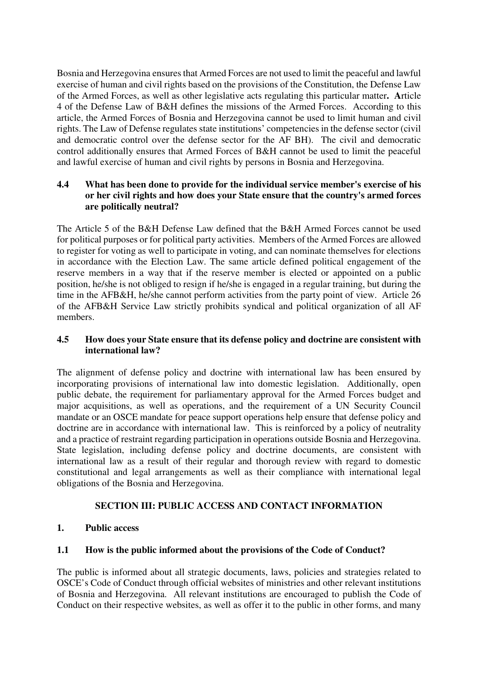Bosnia and Herzegovina ensures that Armed Forces are not used to limit the peaceful and lawful exercise of human and civil rights based on the provisions of the Constitution, the Defense Law of the Armed Forces, as well as other legislative acts regulating this particular matter**. A**rticle 4 of the Defense Law of B&H defines the missions of the Armed Forces. According to this article, the Armed Forces of Bosnia and Herzegovina cannot be used to limit human and civil rights. The Law of Defense regulates state institutions' competencies in the defense sector (civil and democratic control over the defense sector for the AF BH). The civil and democratic control additionally ensures that Armed Forces of B&H cannot be used to limit the peaceful and lawful exercise of human and civil rights by persons in Bosnia and Herzegovina.

# **4.4 What has been done to provide for the individual service member's exercise of his or her civil rights and how does your State ensure that the country's armed forces are politically neutral?**

The Article 5 of the B&H Defense Law defined that the B&H Armed Forces cannot be used for political purposes or for political party activities. Members of the Armed Forces are allowed to register for voting as well to participate in voting, and can nominate themselves for elections in accordance with the Election Law. The same article defined political engagement of the reserve members in a way that if the reserve member is elected or appointed on a public position, he/she is not obliged to resign if he/she is engaged in a regular training, but during the time in the AFB&H, he/she cannot perform activities from the party point of view. Article 26 of the AFB&H Service Law strictly prohibits syndical and political organization of all AF members.

# **4.5 How does your State ensure that its defense policy and doctrine are consistent with international law?**

The alignment of defense policy and doctrine with international law has been ensured by incorporating provisions of international law into domestic legislation. Additionally, open public debate, the requirement for parliamentary approval for the Armed Forces budget and major acquisitions, as well as operations, and the requirement of a UN Security Council mandate or an OSCE mandate for peace support operations help ensure that defense policy and doctrine are in accordance with international law. This is reinforced by a policy of neutrality and a practice of restraint regarding participation in operations outside Bosnia and Herzegovina. State legislation, including defense policy and doctrine documents, are consistent with international law as a result of their regular and thorough review with regard to domestic constitutional and legal arrangements as well as their compliance with international legal obligations of the Bosnia and Herzegovina.

# **SECTION III: PUBLIC ACCESS AND CONTACT INFORMATION**

# **1. Public access**

# **1.1 How is the public informed about the provisions of the Code of Conduct?**

The public is informed about all strategic documents, laws, policies and strategies related to OSCE's Code of Conduct through official websites of ministries and other relevant institutions of Bosnia and Herzegovina. All relevant institutions are encouraged to publish the Code of Conduct on their respective websites, as well as offer it to the public in other forms, and many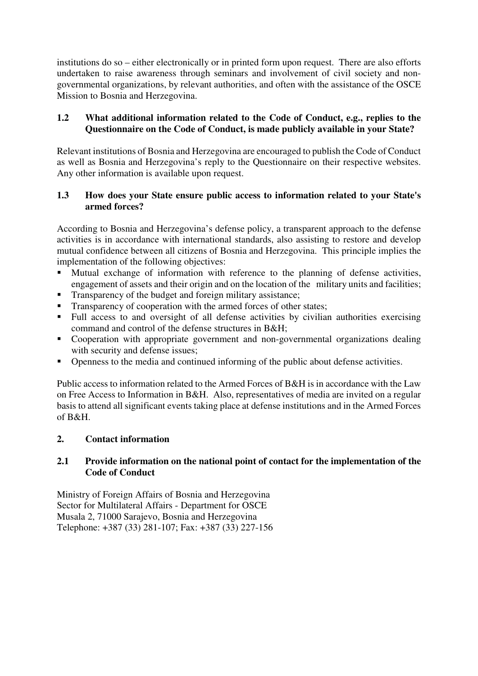institutions do so – either electronically or in printed form upon request. There are also efforts undertaken to raise awareness through seminars and involvement of civil society and nongovernmental organizations, by relevant authorities, and often with the assistance of the OSCE Mission to Bosnia and Herzegovina.

# **1.2 What additional information related to the Code of Conduct, e.g., replies to the Questionnaire on the Code of Conduct, is made publicly available in your State?**

Relevant institutions of Bosnia and Herzegovina are encouraged to publish the Code of Conduct as well as Bosnia and Herzegovina's reply to the Questionnaire on their respective websites. Any other information is available upon request.

# **1.3 How does your State ensure public access to information related to your State's armed forces?**

According to Bosnia and Herzegovina's defense policy, a transparent approach to the defense activities is in accordance with international standards, also assisting to restore and develop mutual confidence between all citizens of Bosnia and Herzegovina. This principle implies the implementation of the following objectives:

- Mutual exchange of information with reference to the planning of defense activities, engagement of assets and their origin and on the location of the military units and facilities;
- **Transparency of the budget and foreign military assistance;**
- Transparency of cooperation with the armed forces of other states;
- Full access to and oversight of all defense activities by civilian authorities exercising command and control of the defense structures in B&H;
- Cooperation with appropriate government and non-governmental organizations dealing with security and defense issues;
- Openness to the media and continued informing of the public about defense activities.

Public access to information related to the Armed Forces of B&H is in accordance with the Law on Free Access to Information in B&H. Also, representatives of media are invited on a regular basis to attend all significant events taking place at defense institutions and in the Armed Forces of B&H.

# **2. Contact information**

## **2.1 Provide information on the national point of contact for the implementation of the Code of Conduct**

Ministry of Foreign Affairs of Bosnia and Herzegovina Sector for Multilateral Affairs - Department for OSCE Musala 2, 71000 Sarajevo, Bosnia and Herzegovina Telephone: +387 (33) 281-107; Fax: +387 (33) 227-156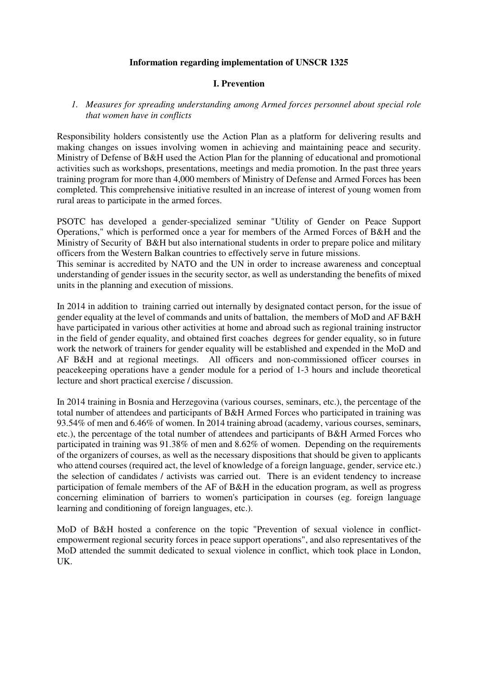#### **Information regarding implementation of UNSCR 1325**

### **I. Prevention**

### *1. Measures for spreading understanding among Armed forces personnel about special role that women have in conflicts*

Responsibility holders consistently use the Action Plan as a platform for delivering results and making changes on issues involving women in achieving and maintaining peace and security. Ministry of Defense of B&H used the Action Plan for the planning of educational and promotional activities such as workshops, presentations, meetings and media promotion. In the past three years training program for more than 4,000 members of Ministry of Defense and Armed Forces has been completed. This comprehensive initiative resulted in an increase of interest of young women from rural areas to participate in the armed forces.

PSOTC has developed a gender-specialized seminar "Utility of Gender on Peace Support Operations," which is performed once a year for members of the Armed Forces of B&H and the Ministry of Security of B&H but also international students in order to prepare police and military officers from the Western Balkan countries to effectively serve in future missions.

This seminar is accredited by NATO and the UN in order to increase awareness and conceptual understanding of gender issues in the security sector, as well as understanding the benefits of mixed units in the planning and execution of missions.

In 2014 in addition to training carried out internally by designated contact person, for the issue of gender equality at the level of commands and units of battalion, the members of MoD and AF B&H have participated in various other activities at home and abroad such as regional training instructor in the field of gender equality, and obtained first coaches degrees for gender equality, so in future work the network of trainers for gender equality will be established and expended in the MoD and AF B&H and at regional meetings. All officers and non-commissioned officer courses in peacekeeping operations have a gender module for a period of 1-3 hours and include theoretical lecture and short practical exercise / discussion.

In 2014 training in Bosnia and Herzegovina (various courses, seminars, etc.), the percentage of the total number of attendees and participants of B&H Armed Forces who participated in training was 93.54% of men and 6.46% of women. In 2014 training abroad (academy, various courses, seminars, etc.), the percentage of the total number of attendees and participants of B&H Armed Forces who participated in training was 91.38% of men and 8.62% of women. Depending on the requirements of the organizers of courses, as well as the necessary dispositions that should be given to applicants who attend courses (required act, the level of knowledge of a foreign language, gender, service etc.) the selection of candidates / activists was carried out. There is an evident tendency to increase participation of female members of the AF of B&H in the education program, as well as progress concerning elimination of barriers to women's participation in courses (eg. foreign language learning and conditioning of foreign languages, etc.).

MoD of B&H hosted a conference on the topic "Prevention of sexual violence in conflictempowerment regional security forces in peace support operations", and also representatives of the MoD attended the summit dedicated to sexual violence in conflict, which took place in London, UK.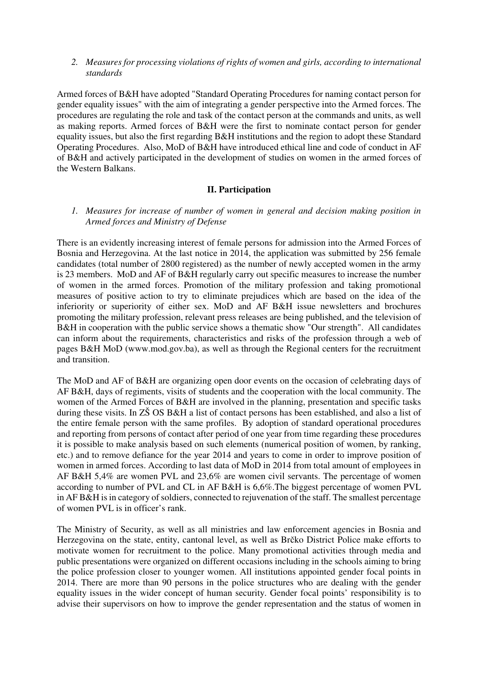#### *2. Measures for processing violations of rights of women and girls, according to international standards*

Armed forces of B&H have adopted "Standard Operating Procedures for naming contact person for gender equality issues" with the aim of integrating a gender perspective into the Armed forces. The procedures are regulating the role and task of the contact person at the commands and units, as well as making reports. Armed forces of B&H were the first to nominate contact person for gender equality issues, but also the first regarding B&H institutions and the region to adopt these Standard Operating Procedures. Also, MoD of B&H have introduced ethical line and code of conduct in AF of B&H and actively participated in the development of studies on women in the armed forces of the Western Balkans.

## **II. Participation**

*1. Measures for increase of number of women in general and decision making position in Armed forces and Ministry of Defense* 

There is an evidently increasing interest of female persons for admission into the Armed Forces of Bosnia and Herzegovina. At the last notice in 2014, the application was submitted by 256 female candidates (total number of 2800 registered) as the number of newly accepted women in the army is 23 members. MoD and AF of B&H regularly carry out specific measures to increase the number of women in the armed forces. Promotion of the military profession and taking promotional measures of positive action to try to eliminate prejudices which are based on the idea of the inferiority or superiority of either sex. MoD and AF B&H issue newsletters and brochures promoting the military profession, relevant press releases are being published, and the television of B&H in cooperation with the public service shows a thematic show "Our strength". All candidates can inform about the requirements, characteristics and risks of the profession through a web of pages B&H MoD (www.mod.gov.ba), as well as through the Regional centers for the recruitment and transition.

The MoD and AF of B&H are organizing open door events on the occasion of celebrating days of AF B&H, days of regiments, visits of students and the cooperation with the local community. The women of the Armed Forces of B&H are involved in the planning, presentation and specific tasks during these visits. In ZŠ OS B&H a list of contact persons has been established, and also a list of the entire female person with the same profiles. By adoption of standard operational procedures and reporting from persons of contact after period of one year from time regarding these procedures it is possible to make analysis based on such elements (numerical position of women, by ranking, etc.) and to remove defiance for the year 2014 and years to come in order to improve position of women in armed forces. According to last data of MoD in 2014 from total amount of employees in AF B&H 5,4% are women PVL and 23,6% are women civil servants. The percentage of women according to number of PVL and CL in AF B&H is 6,6%.The biggest percentage of women PVL in AF B&H is in category of soldiers, connected to rejuvenation of the staff. The smallest percentage of women PVL is in officer's rank.

The Ministry of Security, as well as all ministries and law enforcement agencies in Bosnia and Herzegovina on the state, entity, cantonal level, as well as Brčko District Police make efforts to motivate women for recruitment to the police. Many promotional activities through media and public presentations were organized on different occasions including in the schools aiming to bring the police profession closer to younger women. All institutions appointed gender focal points in 2014. There are more than 90 persons in the police structures who are dealing with the gender equality issues in the wider concept of human security. Gender focal points' responsibility is to advise their supervisors on how to improve the gender representation and the status of women in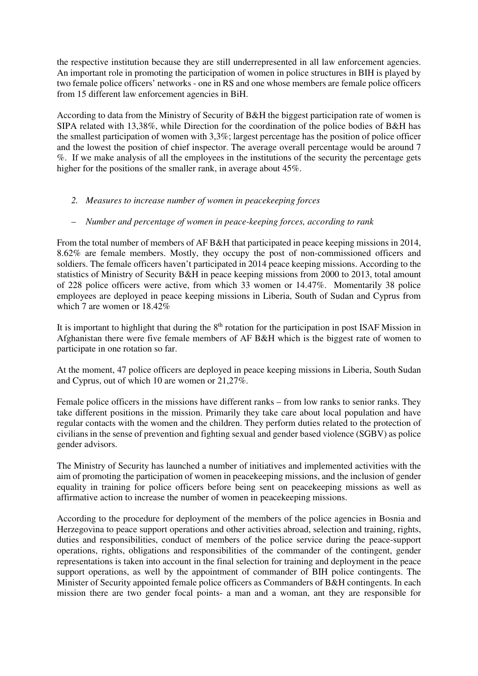the respective institution because they are still underrepresented in all law enforcement agencies. An important role in promoting the participation of women in police structures in BIH is played by two female police officers' networks - one in RS and one whose members are female police officers from 15 different law enforcement agencies in BiH.

According to data from the Ministry of Security of B&H the biggest participation rate of women is SIPA related with 13,38%, while Direction for the coordination of the police bodies of B&H has the smallest participation of women with 3,3%; largest percentage has the position of police officer and the lowest the position of chief inspector. The average overall percentage would be around 7 %. If we make analysis of all the employees in the institutions of the security the percentage gets higher for the positions of the smaller rank, in average about 45%.

### *2. Measures to increase number of women in peacekeeping forces*

## – *Number and percentage of women in peace-keeping forces, according to rank*

From the total number of members of AF B&H that participated in peace keeping missions in 2014, 8.62% are female members. Mostly, they occupy the post of non-commissioned officers and soldiers. The female officers haven't participated in 2014 peace keeping missions. According to the statistics of Ministry of Security B&H in peace keeping missions from 2000 to 2013, total amount of 228 police officers were active, from which 33 women or 14.47%. Momentarily 38 police employees are deployed in peace keeping missions in Liberia, South of Sudan and Cyprus from which 7 are women or 18.42%

It is important to highlight that during the  $8<sup>th</sup>$  rotation for the participation in post ISAF Mission in Afghanistan there were five female members of AF B&H which is the biggest rate of women to participate in one rotation so far.

At the moment, 47 police officers are deployed in peace keeping missions in Liberia, South Sudan and Cyprus, out of which 10 are women or 21,27%.

Female police officers in the missions have different ranks – from low ranks to senior ranks. They take different positions in the mission. Primarily they take care about local population and have regular contacts with the women and the children. They perform duties related to the protection of civilians in the sense of prevention and fighting sexual and gender based violence (SGBV) as police gender advisors.

The Ministry of Security has launched a number of initiatives and implemented activities with the aim of promoting the participation of women in peacekeeping missions, and the inclusion of gender equality in training for police officers before being sent on peacekeeping missions as well as affirmative action to increase the number of women in peacekeeping missions.

According to the procedure for deployment of the members of the police agencies in Bosnia and Herzegovina to peace support operations and other activities abroad, selection and training, rights, duties and responsibilities, conduct of members of the police service during the peace-support operations, rights, obligations and responsibilities of the commander of the contingent, gender representations is taken into account in the final selection for training and deployment in the peace support operations, as well by the appointment of commander of BIH police contingents. The Minister of Security appointed female police officers as Commanders of B&H contingents. In each mission there are two gender focal points- a man and a woman, ant they are responsible for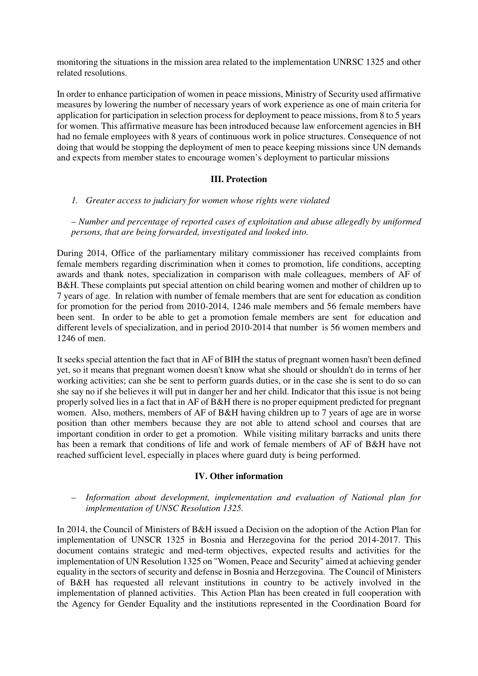monitoring the situations in the mission area related to the implementation UNRSC 1325 and other related resolutions.

In order to enhance participation of women in peace missions, Ministry of Security used affirmative measures by lowering the number of necessary years of work experience as one of main criteria for application for participation in selection process for deployment to peace missions, from 8 to 5 years for women. This affirmative measure has been introduced because law enforcement agencies in BH had no female employees with 8 years of continuous work in police structures. Consequence of not doing that would be stopping the deployment of men to peace keeping missions since UN demands and expects from member states to encourage women's deployment to particular missions

#### **III. Protection**

#### *1. Greater access to judiciary for women whose rights were violated*

– *Number and percentage of reported cases of exploitation and abuse allegedly by uniformed persons, that are being forwarded, investigated and looked into.* 

During 2014, Office of the parliamentary military commissioner has received complaints from female members regarding discrimination when it comes to promotion, life conditions, accepting awards and thank notes, specialization in comparison with male colleagues, members of AF of B&H. These complaints put special attention on child bearing women and mother of children up to 7 years of age. In relation with number of female members that are sent for education as condition for promotion for the period from 2010-2014, 1246 male members and 56 female members have been sent. In order to be able to get a promotion female members are sent for education and different levels of specialization, and in period 2010-2014 that number is 56 women members and 1246 of men.

It seeks special attention the fact that in AF of BIH the status of pregnant women hasn't been defined yet, so it means that pregnant women doesn't know what she should or shouldn't do in terms of her working activities; can she be sent to perform guards duties, or in the case she is sent to do so can she say no if she believes it will put in danger her and her child. Indicator that this issue is not being properly solved lies in a fact that in AF of B&H there is no proper equipment predicted for pregnant women. Also, mothers, members of AF of B&H having children up to 7 years of age are in worse position than other members because they are not able to attend school and courses that are important condition in order to get a promotion. While visiting military barracks and units there has been a remark that conditions of life and work of female members of AF of B&H have not reached sufficient level, especially in places where guard duty is being performed.

### **IV. Other information**

– *Information about development, implementation and evaluation of National plan for implementation of UNSC Resolution 1325.* 

In 2014, the Council of Ministers of B&H issued a Decision on the adoption of the Action Plan for implementation of UNSCR 1325 in Bosnia and Herzegovina for the period 2014-2017. This document contains strategic and med-term objectives, expected results and activities for the implementation of UN Resolution 1325 on "Women, Peace and Security" aimed at achieving gender equality in the sectors of security and defense in Bosnia and Herzegovina. The Council of Ministers of B&H has requested all relevant institutions in country to be actively involved in the implementation of planned activities. This Action Plan has been created in full cooperation with the Agency for Gender Equality and the institutions represented in the Coordination Board for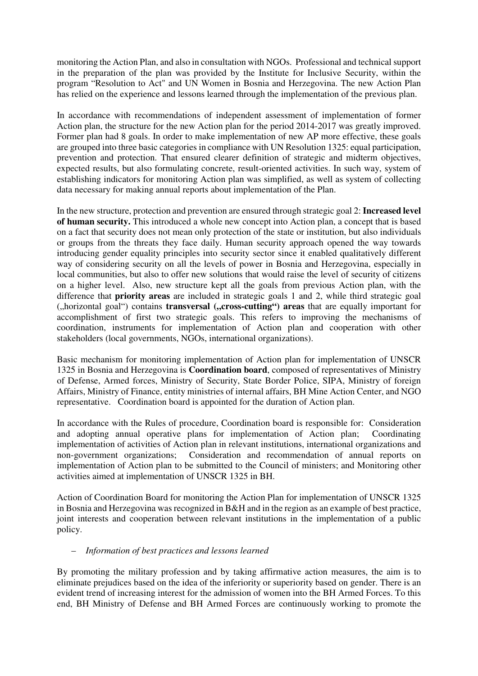monitoring the Action Plan, and also in consultation with NGOs. Professional and technical support in the preparation of the plan was provided by the Institute for Inclusive Security, within the program "Resolution to Act" and UN Women in Bosnia and Herzegovina. The new Action Plan has relied on the experience and lessons learned through the implementation of the previous plan.

In accordance with recommendations of independent assessment of implementation of former Action plan, the structure for the new Action plan for the period 2014-2017 was greatly improved. Former plan had 8 goals. In order to make implementation of new AP more effective, these goals are grouped into three basic categories in compliance with UN Resolution 1325: equal participation, prevention and protection. That ensured clearer definition of strategic and midterm objectives, expected results, but also formulating concrete, result-oriented activities. In such way, system of establishing indicators for monitoring Action plan was simplified, as well as system of collecting data necessary for making annual reports about implementation of the Plan.

In the new structure, protection and prevention are ensured through strategic goal 2: **Increased level of human security.** This introduced a whole new concept into Action plan, a concept that is based on a fact that security does not mean only protection of the state or institution, but also individuals or groups from the threats they face daily. Human security approach opened the way towards introducing gender equality principles into security sector since it enabled qualitatively different way of considering security on all the levels of power in Bosnia and Herzegovina, especially in local communities, but also to offer new solutions that would raise the level of security of citizens on a higher level. Also, new structure kept all the goals from previous Action plan, with the difference that **priority areas** are included in strategic goals 1 and 2, while third strategic goal ("horizontal goal") contains **transversal** ("cross-cutting") areas that are equally important for accomplishment of first two strategic goals. This refers to improving the mechanisms of coordination, instruments for implementation of Action plan and cooperation with other stakeholders (local governments, NGOs, international organizations).

Basic mechanism for monitoring implementation of Action plan for implementation of UNSCR 1325 in Bosnia and Herzegovina is **Coordination board**, composed of representatives of Ministry of Defense, Armed forces, Ministry of Security, State Border Police, SIPA, Ministry of foreign Affairs, Ministry of Finance, entity ministries of internal affairs, BH Mine Action Center, and NGO representative. Coordination board is appointed for the duration of Action plan.

In accordance with the Rules of procedure, Coordination board is responsible for: Consideration and adopting annual operative plans for implementation of Action plan; Coordinating implementation of activities of Action plan in relevant institutions, international organizations and non-government organizations; Consideration and recommendation of annual reports on implementation of Action plan to be submitted to the Council of ministers; and Monitoring other activities aimed at implementation of UNSCR 1325 in BH.

Action of Coordination Board for monitoring the Action Plan for implementation of UNSCR 1325 in Bosnia and Herzegovina was recognized in B&H and in the region as an example of best practice, joint interests and cooperation between relevant institutions in the implementation of a public policy.

### – *Information of best practices and lessons learned*

By promoting the military profession and by taking affirmative action measures, the aim is to eliminate prejudices based on the idea of the inferiority or superiority based on gender. There is an evident trend of increasing interest for the admission of women into the BH Armed Forces. To this end, BH Ministry of Defense and BH Armed Forces are continuously working to promote the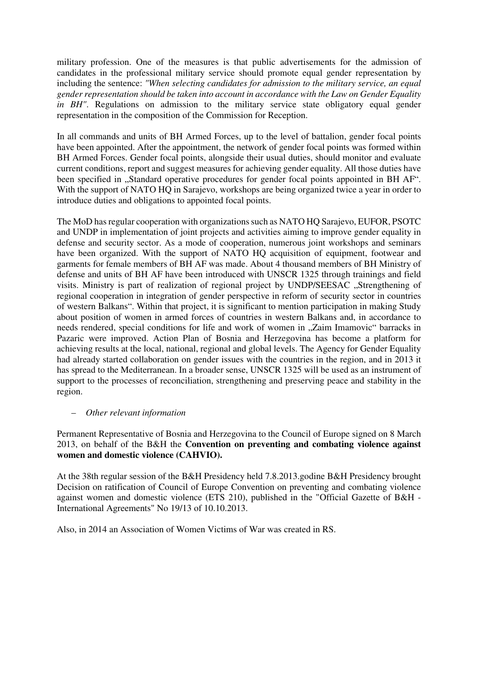military profession. One of the measures is that public advertisements for the admission of candidates in the professional military service should promote equal gender representation by including the sentence: *"When selecting candidates for admission to the military service, an equal gender representation should be taken into account in accordance with the Law on Gender Equality in BH"*. Regulations on admission to the military service state obligatory equal gender representation in the composition of the Commission for Reception.

In all commands and units of BH Armed Forces, up to the level of battalion, gender focal points have been appointed. After the appointment, the network of gender focal points was formed within BH Armed Forces. Gender focal points, alongside their usual duties, should monitor and evaluate current conditions, report and suggest measures for achieving gender equality. All those duties have been specified in "Standard operative procedures for gender focal points appointed in BH AF". With the support of NATO HQ in Sarajevo, workshops are being organized twice a year in order to introduce duties and obligations to appointed focal points.

The MoD has regular cooperation with organizations such as NATO HQ Sarajevo, EUFOR, PSOTC and UNDP in implementation of joint projects and activities aiming to improve gender equality in defense and security sector. As a mode of cooperation, numerous joint workshops and seminars have been organized. With the support of NATO HQ acquisition of equipment, footwear and garments for female members of BH AF was made. About 4 thousand members of BH Ministry of defense and units of BH AF have been introduced with UNSCR 1325 through trainings and field visits. Ministry is part of realization of regional project by UNDP/SEESAC "Strengthening of regional cooperation in integration of gender perspective in reform of security sector in countries of western Balkans". Within that project, it is significant to mention participation in making Study about position of women in armed forces of countries in western Balkans and, in accordance to needs rendered, special conditions for life and work of women in "Zaim Imamovic" barracks in Pazaric were improved. Action Plan of Bosnia and Herzegovina has become a platform for achieving results at the local, national, regional and global levels. The Agency for Gender Equality had already started collaboration on gender issues with the countries in the region, and in 2013 it has spread to the Mediterranean. In a broader sense, UNSCR 1325 will be used as an instrument of support to the processes of reconciliation, strengthening and preserving peace and stability in the region.

### – *Other relevant information*

Permanent Representative of Bosnia and Herzegovina to the Council of Europe signed on 8 March 2013, on behalf of the B&H the **Convention on preventing and combating violence against women and domestic violence (CAHVIO).** 

At the 38th regular session of the B&H Presidency held 7.8.2013.godine B&H Presidency brought Decision on ratification of Council of Europe Convention on preventing and combating violence against women and domestic violence (ETS 210), published in the "Official Gazette of B&H - International Agreements" No 19/13 of 10.10.2013.

Also, in 2014 an Association of Women Victims of War was created in RS.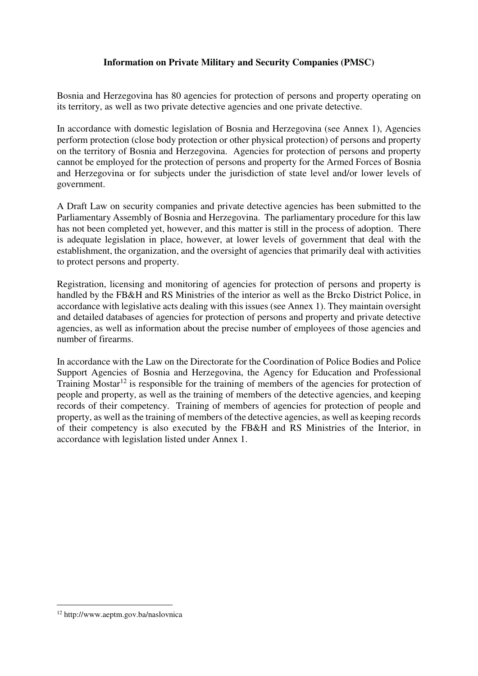# **Information on Private Military and Security Companies (PMSC)**

Bosnia and Herzegovina has 80 agencies for protection of persons and property operating on its territory, as well as two private detective agencies and one private detective.

In accordance with domestic legislation of Bosnia and Herzegovina (see Annex 1), Agencies perform protection (close body protection or other physical protection) of persons and property on the territory of Bosnia and Herzegovina. Agencies for protection of persons and property cannot be employed for the protection of persons and property for the Armed Forces of Bosnia and Herzegovina or for subjects under the jurisdiction of state level and/or lower levels of government.

A Draft Law on security companies and private detective agencies has been submitted to the Parliamentary Assembly of Bosnia and Herzegovina. The parliamentary procedure for this law has not been completed yet, however, and this matter is still in the process of adoption. There is adequate legislation in place, however, at lower levels of government that deal with the establishment, the organization, and the oversight of agencies that primarily deal with activities to protect persons and property.

Registration, licensing and monitoring of agencies for protection of persons and property is handled by the FB&H and RS Ministries of the interior as well as the Brcko District Police, in accordance with legislative acts dealing with this issues (see Annex 1). They maintain oversight and detailed databases of agencies for protection of persons and property and private detective agencies, as well as information about the precise number of employees of those agencies and number of firearms.

In accordance with the Law on the Directorate for the Coordination of Police Bodies and Police Support Agencies of Bosnia and Herzegovina, the Agency for Education and Professional Training Mostar<sup>12</sup> is responsible for the training of members of the agencies for protection of people and property, as well as the training of members of the detective agencies, and keeping records of their competency. Training of members of agencies for protection of people and property, as well as the training of members of the detective agencies, as well as keeping records of their competency is also executed by the FB&H and RS Ministries of the Interior, in accordance with legislation listed under Annex 1.

<sup>&</sup>lt;u>.</u> 12 http://www.aeptm.gov.ba/naslovnica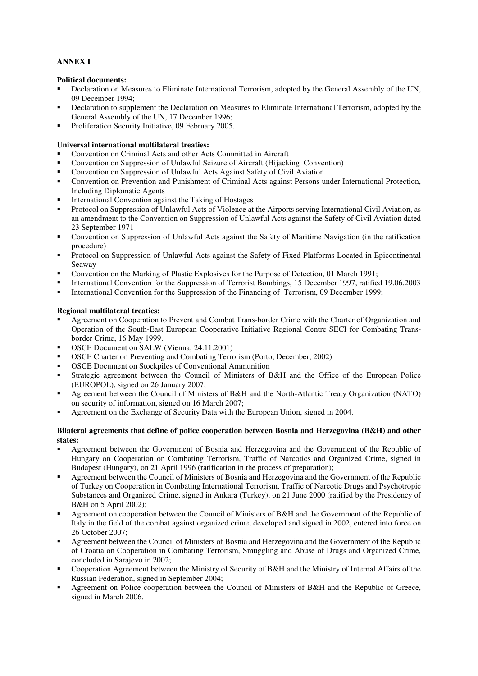#### **ANNEX I**

#### **Political documents:**

- Declaration on Measures to Eliminate International Terrorism, adopted by the General Assembly of the UN, 09 December 1994;
- Declaration to supplement the Declaration on Measures to Eliminate International Terrorism, adopted by the General Assembly of the UN, 17 December 1996;
- Proliferation Security Initiative, 09 February 2005.

#### **Universal international multilateral treaties:**

- Convention on Criminal Acts and other Acts Committed in Aircraft
- Convention on Suppression of Unlawful Seizure of Aircraft (Hijacking Convention)
- Convention on Suppression of Unlawful Acts Against Safety of Civil Aviation
- Convention on Prevention and Punishment of Criminal Acts against Persons under International Protection, Including Diplomatic Agents
- International Convention against the Taking of Hostages
- Protocol on Suppression of Unlawful Acts of Violence at the Airports serving International Civil Aviation, as an amendment to the Convention on Suppression of Unlawful Acts against the Safety of Civil Aviation dated 23 September 1971
- Convention on Suppression of Unlawful Acts against the Safety of Maritime Navigation (in the ratification procedure)
- Protocol on Suppression of Unlawful Acts against the Safety of Fixed Platforms Located in Epicontinental Seaway
- Convention on the Marking of Plastic Explosives for the Purpose of Detection, 01 March 1991;
- International Convention for the Suppression of Terrorist Bombings, 15 December 1997, ratified 19.06.2003
- International Convention for the Suppression of the Financing of Terrorism, 09 December 1999;

#### **Regional multilateral treaties:**

- Agreement on Cooperation to Prevent and Combat Trans-border Crime with the Charter of Organization and Operation of the South-East European Cooperative Initiative Regional Centre SECI for Combating Transborder Crime, 16 May 1999.
- OSCE Document on SALW (Vienna, 24.11.2001)
- OSCE Charter on Preventing and Combating Terrorism (Porto, December, 2002)
- OSCE Document on Stockpiles of Conventional Ammunition
- Strategic agreement between the Council of Ministers of B&H and the Office of the European Police (EUROPOL), signed on 26 January 2007;
- Agreement between the Council of Ministers of B&H and the North-Atlantic Treaty Organization (NATO) on security of information, signed on 16 March 2007;
- Agreement on the Exchange of Security Data with the European Union, signed in 2004.

#### **Bilateral agreements that define of police cooperation between Bosnia and Herzegovina (B&H) and other states:**

- Agreement between the Government of Bosnia and Herzegovina and the Government of the Republic of Hungary on Cooperation on Combating Terrorism, Traffic of Narcotics and Organized Crime, signed in Budapest (Hungary), on 21 April 1996 (ratification in the process of preparation);
- Agreement between the Council of Ministers of Bosnia and Herzegovina and the Government of the Republic of Turkey on Cooperation in Combating International Terrorism, Traffic of Narcotic Drugs and Psychotropic Substances and Organized Crime, signed in Ankara (Turkey), on 21 June 2000 (ratified by the Presidency of B&H on 5 April 2002);
- Agreement on cooperation between the Council of Ministers of B&H and the Government of the Republic of Italy in the field of the combat against organized crime, developed and signed in 2002, entered into force on 26 October 2007;
- Agreement between the Council of Ministers of Bosnia and Herzegovina and the Government of the Republic of Croatia on Cooperation in Combating Terrorism, Smuggling and Abuse of Drugs and Organized Crime, concluded in Sarajevo in 2002;
- Cooperation Agreement between the Ministry of Security of B&H and the Ministry of Internal Affairs of the Russian Federation, signed in September 2004;
- Agreement on Police cooperation between the Council of Ministers of B&H and the Republic of Greece, signed in March 2006.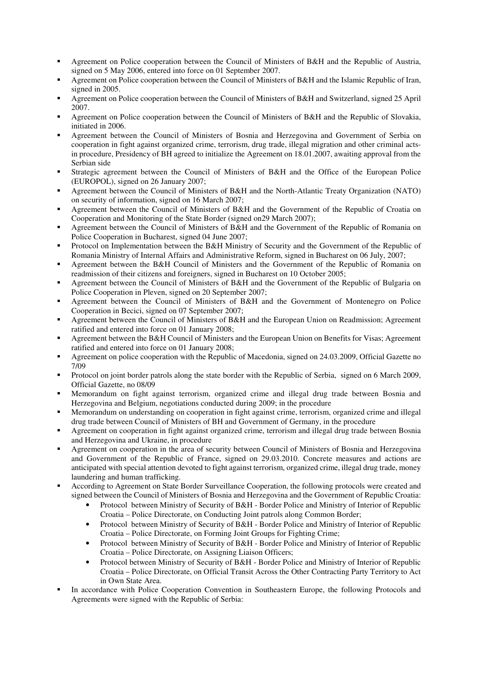- Agreement on Police cooperation between the Council of Ministers of B&H and the Republic of Austria, signed on 5 May 2006, entered into force on 01 September 2007.
- Agreement on Police cooperation between the Council of Ministers of B&H and the Islamic Republic of Iran, signed in 2005.
- Agreement on Police cooperation between the Council of Ministers of B&H and Switzerland, signed 25 April 2007.
- Agreement on Police cooperation between the Council of Ministers of B&H and the Republic of Slovakia, initiated in 2006.
- Agreement between the Council of Ministers of Bosnia and Herzegovina and Government of Serbia on cooperation in fight against organized crime, terrorism, drug trade, illegal migration and other criminal actsin procedure, Presidency of BH agreed to initialize the Agreement on 18.01.2007, awaiting approval from the Serbian side
- Strategic agreement between the Council of Ministers of B&H and the Office of the European Police (EUROPOL), signed on 26 January 2007;
- Agreement between the Council of Ministers of B&H and the North-Atlantic Treaty Organization (NATO) on security of information, signed on 16 March 2007;
- Agreement between the Council of Ministers of B&H and the Government of the Republic of Croatia on Cooperation and Monitoring of the State Border (signed on29 March 2007);
- Agreement between the Council of Ministers of B&H and the Government of the Republic of Romania on Police Cooperation in Bucharest, signed 04 June 2007;
- Protocol on Implementation between the B&H Ministry of Security and the Government of the Republic of Romania Ministry of Internal Affairs and Administrative Reform, signed in Bucharest on 06 July, 2007;
- Agreement between the B&H Council of Ministers and the Government of the Republic of Romania on readmission of their citizens and foreigners, signed in Bucharest on 10 October 2005;
- Agreement between the Council of Ministers of B&H and the Government of the Republic of Bulgaria on Police Cooperation in Pleven, signed on 20 September 2007;
- Agreement between the Council of Ministers of B&H and the Government of Montenegro on Police Cooperation in Becici, signed on 07 September 2007;
- Agreement between the Council of Ministers of B&H and the European Union on Readmission; Agreement ratified and entered into force on 01 January 2008;
- Agreement between the B&H Council of Ministers and the European Union on Benefits for Visas; Agreement ratified and entered into force on 01 January 2008;
- Agreement on police cooperation with the Republic of Macedonia, signed on 24.03.2009, Official Gazette no 7/09
- Protocol on joint border patrols along the state border with the Republic of Serbia, signed on 6 March 2009, Official Gazette, no 08/09
- Memorandum on fight against terrorism, organized crime and illegal drug trade between Bosnia and Herzegovina and Belgium, negotiations conducted during 2009; in the procedure
- Memorandum on understanding on cooperation in fight against crime, terrorism, organized crime and illegal drug trade between Council of Ministers of BH and Government of Germany, in the procedure
- Agreement on cooperation in fight against organized crime, terrorism and illegal drug trade between Bosnia and Herzegovina and Ukraine, in procedure
- Agreement on cooperation in the area of security between Council of Ministers of Bosnia and Herzegovina and Government of the Republic of France, signed on 29.03.2010. Concrete measures and actions are anticipated with special attention devoted to fight against terrorism, organized crime, illegal drug trade, money laundering and human trafficking.
- According to Agreement on State Border Surveillance Cooperation, the following protocols were created and signed between the Council of Ministers of Bosnia and Herzegovina and the Government of Republic Croatia:
	- Protocol between Ministry of Security of B&H Border Police and Ministry of Interior of Republic Croatia – Police Directorate, on Conducting Joint patrols along Common Border;
	- Protocol between Ministry of Security of B&H Border Police and Ministry of Interior of Republic Croatia – Police Directorate, on Forming Joint Groups for Fighting Crime;
	- Protocol between Ministry of Security of B&H Border Police and Ministry of Interior of Republic Croatia – Police Directorate, on Assigning Liaison Officers;
	- Protocol between Ministry of Security of B&H Border Police and Ministry of Interior of Republic Croatia – Police Directorate, on Official Transit Across the Other Contracting Party Territory to Act in Own State Area.
- In accordance with Police Cooperation Convention in Southeastern Europe, the following Protocols and Agreements were signed with the Republic of Serbia: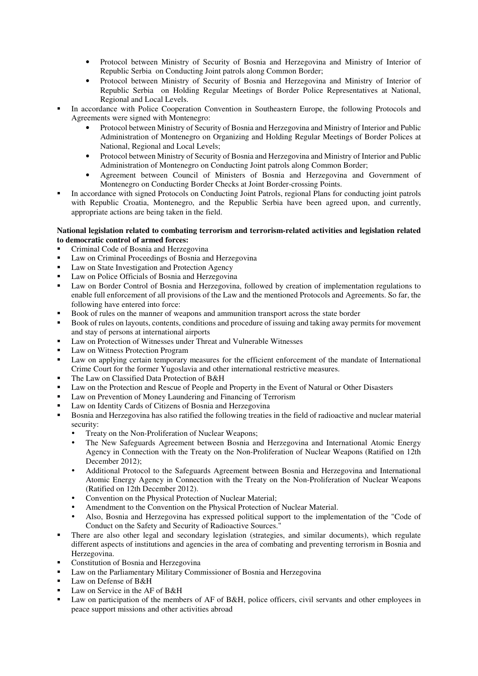- Protocol between Ministry of Security of Bosnia and Herzegovina and Ministry of Interior of Republic Serbia on Conducting Joint patrols along Common Border;
- Protocol between Ministry of Security of Bosnia and Herzegovina and Ministry of Interior of Republic Serbia on Holding Regular Meetings of Border Police Representatives at National, Regional and Local Levels.
- In accordance with Police Cooperation Convention in Southeastern Europe, the following Protocols and Agreements were signed with Montenegro:
	- Protocol between Ministry of Security of Bosnia and Herzegovina and Ministry of Interior and Public Administration of Montenegro on Organizing and Holding Regular Meetings of Border Polices at National, Regional and Local Levels;
	- Protocol between Ministry of Security of Bosnia and Herzegovina and Ministry of Interior and Public Administration of Montenegro on Conducting Joint patrols along Common Border;
	- Agreement between Council of Ministers of Bosnia and Herzegovina and Government of Montenegro on Conducting Border Checks at Joint Border-crossing Points.
- In accordance with signed Protocols on Conducting Joint Patrols, regional Plans for conducting joint patrols with Republic Croatia, Montenegro, and the Republic Serbia have been agreed upon, and currently, appropriate actions are being taken in the field.

#### **National legislation related to combating terrorism and terrorism-related activities and legislation related to democratic control of armed forces:**

- Criminal Code of Bosnia and Herzegovina<br>
Law on Criminal Proceedings of Bosnia and
- Law on Criminal Proceedings of Bosnia and Herzegovina
- **Law on State Investigation and Protection Agency**
- Law on Police Officials of Bosnia and Herzegovina
- Law on Border Control of Bosnia and Herzegovina, followed by creation of implementation regulations to enable full enforcement of all provisions of the Law and the mentioned Protocols and Agreements. So far, the following have entered into force:
- Book of rules on the manner of weapons and ammunition transport across the state border
- Book of rules on layouts, contents, conditions and procedure of issuing and taking away permits for movement and stay of persons at international airports
- Law on Protection of Witnesses under Threat and Vulnerable Witnesses
- Law on Witness Protection Program
- Law on applying certain temporary measures for the efficient enforcement of the mandate of International Crime Court for the former Yugoslavia and other international restrictive measures.
- The Law on Classified Data Protection of B&H
- Law on the Protection and Rescue of People and Property in the Event of Natural or Other Disasters
- **Law on Prevention of Money Laundering and Financing of Terrorism**
- Law on Identity Cards of Citizens of Bosnia and Herzegovina
- Bosnia and Herzegovina has also ratified the following treaties in the field of radioactive and nuclear material security:
	- Treaty on the Non-Proliferation of Nuclear Weapons;
	- The New Safeguards Agreement between Bosnia and Herzegovina and International Atomic Energy Agency in Connection with the Treaty on the Non-Proliferation of Nuclear Weapons (Ratified on 12th December 2012);
	- Additional Protocol to the Safeguards Agreement between Bosnia and Herzegovina and International Atomic Energy Agency in Connection with the Treaty on the Non-Proliferation of Nuclear Weapons (Ratified on 12th December 2012).
	- Convention on the Physical Protection of Nuclear Material:
	- Amendment to the Convention on the Physical Protection of Nuclear Material.
	- Also, Bosnia and Herzegovina has expressed political support to the implementation of the "Code of Conduct on the Safety and Security of Radioactive Sources."
- There are also other legal and secondary legislation (strategies, and similar documents), which regulate different aspects of institutions and agencies in the area of combating and preventing terrorism in Bosnia and Herzegovina.
- Constitution of Bosnia and Herzegovina
- Law on the Parliamentary Military Commissioner of Bosnia and Herzegovina
- Law on Defense of B&H
- Law on Service in the AF of B&H
- Law on participation of the members of AF of B&H, police officers, civil servants and other employees in peace support missions and other activities abroad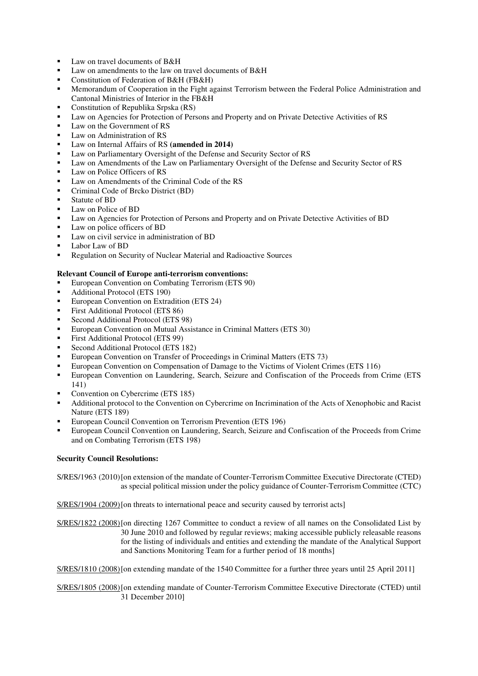- $\blacksquare$  Law on travel documents of B&H
- Law on amendments to the law on travel documents of B&H
- Constitution of Federation of B&H (FB&H)
- **•** Memorandum of Cooperation in the Fight against Terrorism between the Federal Police Administration and Cantonal Ministries of Interior in the FB&H
- **Constitution of Republika Srpska (RS)**
- Law on Agencies for Protection of Persons and Property and on Private Detective Activities of RS
- Law on the Government of RS
- Law on Administration of RS
- Law on Internal Affairs of RS **(amended in 2014)**
- Law on Parliamentary Oversight of the Defense and Security Sector of RS
- Law on Amendments of the Law on Parliamentary Oversight of the Defense and Security Sector of RS
- Law on Police Officers of RS
- Law on Amendments of the Criminal Code of the RS
- **•** Criminal Code of Brcko District (BD)
- Statute of BD
- **Law on Police of BD**
- Law on Agencies for Protection of Persons and Property and on Private Detective Activities of BD
- Law on police officers of BD
- Law on civil service in administration of BD
- Labor Law of BD
- **Regulation on Security of Nuclear Material and Radioactive Sources**

#### **Relevant Council of Europe anti-terrorism conventions:**

- European Convention on Combating Terrorism (ETS 90)
- Additional Protocol (ETS 190)
- **European Convention on Extradition (ETS 24)**
- First Additional Protocol (ETS 86)
- Second Additional Protocol (ETS 98)
- **European Convention on Mutual Assistance in Criminal Matters (ETS 30)**
- First Additional Protocol (ETS 99)
- Second Additional Protocol (ETS 182)
- European Convention on Transfer of Proceedings in Criminal Matters (ETS 73)
- European Convention on Compensation of Damage to the Victims of Violent Crimes (ETS 116)
- **European Convention on Laundering, Search, Seizure and Confiscation of the Proceeds from Crime (ETS** 141)
- Convention on Cybercrime (ETS 185)
- Additional protocol to the Convention on Cybercrime on Incrimination of the Acts of Xenophobic and Racist Nature (ETS 189)
- European Council Convention on Terrorism Prevention (ETS 196)
- European Council Convention on Laundering, Search, Seizure and Confiscation of the Proceeds from Crime and on Combating Terrorism (ETS 198)

#### **Security Council Resolutions:**

S/RES/1963 (2010) [on extension of the mandate of Counter-Terrorism Committee Executive Directorate (CTED) as special political mission under the policy guidance of Counter-Terrorism Committee (CTC)

S/RES/1904 (2009) [on threats to international peace and security caused by terrorist acts]

S/RES/1822 (2008) [on directing 1267 Committee to conduct a review of all names on the Consolidated List by 30 June 2010 and followed by regular reviews; making accessible publicly releasable reasons for the listing of individuals and entities and extending the mandate of the Analytical Support and Sanctions Monitoring Team for a further period of 18 months]

S/RES/1810 (2008) [on extending mandate of the 1540 Committee for a further three years until 25 April 2011]

S/RES/1805 (2008) [on extending mandate of Counter-Terrorism Committee Executive Directorate (CTED) until 31 December 2010]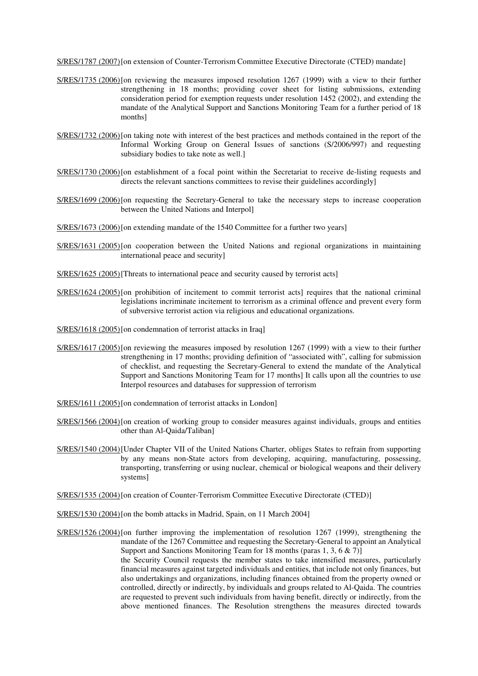S/RES/1787 (2007) [on extension of Counter-Terrorism Committee Executive Directorate (CTED) mandate]

- S/RES/1735 (2006) [on reviewing the measures imposed resolution 1267 (1999) with a view to their further strengthening in 18 months; providing cover sheet for listing submissions, extending consideration period for exemption requests under resolution 1452 (2002), and extending the mandate of the Analytical Support and Sanctions Monitoring Team for a further period of 18 months]
- S/RES/1732 (2006) [on taking note with interest of the best practices and methods contained in the report of the Informal Working Group on General Issues of sanctions (S/2006/997) and requesting subsidiary bodies to take note as well.]
- S/RES/1730 (2006) [on establishment of a focal point within the Secretariat to receive de-listing requests and directs the relevant sanctions committees to revise their guidelines accordingly
- S/RES/1699 (2006) [on requesting the Secretary-General to take the necessary steps to increase cooperation between the United Nations and Interpol]
- S/RES/1673 (2006) [on extending mandate of the 1540 Committee for a further two years]
- S/RES/1631 (2005) [on cooperation between the United Nations and regional organizations in maintaining international peace and security]
- S/RES/1625 (2005) [Threats to international peace and security caused by terrorist acts]
- S/RES/1624 (2005) [on prohibition of incitement to commit terrorist acts] requires that the national criminal legislations incriminate incitement to terrorism as a criminal offence and prevent every form of subversive terrorist action via religious and educational organizations.
- S/RES/1618 (2005) [on condemnation of terrorist attacks in Iraq]
- S/RES/1617 (2005) [on reviewing the measures imposed by resolution 1267 (1999) with a view to their further strengthening in 17 months; providing definition of "associated with", calling for submission of checklist, and requesting the Secretary-General to extend the mandate of the Analytical Support and Sanctions Monitoring Team for 17 months] It calls upon all the countries to use Interpol resources and databases for suppression of terrorism
- S/RES/1611 (2005) [on condemnation of terrorist attacks in London]
- S/RES/1566 (2004) [on creation of working group to consider measures against individuals, groups and entities other than Al-Qaida/Taliban]
- S/RES/1540 (2004) [Under Chapter VII of the United Nations Charter, obliges States to refrain from supporting by any means non-State actors from developing, acquiring, manufacturing, possessing, transporting, transferring or using nuclear, chemical or biological weapons and their delivery systems]
- S/RES/1535 (2004) [on creation of Counter-Terrorism Committee Executive Directorate (CTED)]
- S/RES/1530 (2004) [on the bomb attacks in Madrid, Spain, on 11 March 2004]
- S/RES/1526 (2004) [on further improving the implementation of resolution 1267 (1999), strengthening the mandate of the 1267 Committee and requesting the Secretary-General to appoint an Analytical Support and Sanctions Monitoring Team for 18 months (paras 1, 3, 6  $\&$  7)] the Security Council requests the member states to take intensified measures, particularly financial measures against targeted individuals and entities, that include not only finances, but also undertakings and organizations, including finances obtained from the property owned or controlled, directly or indirectly, by individuals and groups related to Al-Qaida. The countries are requested to prevent such individuals from having benefit, directly or indirectly, from the above mentioned finances. The Resolution strengthens the measures directed towards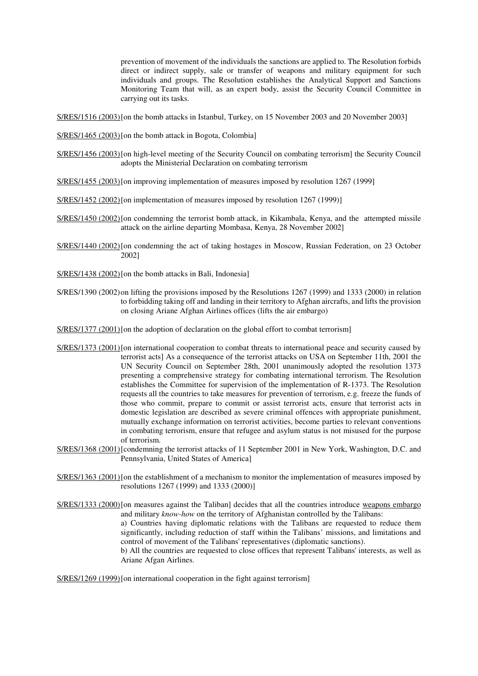prevention of movement of the individuals the sanctions are applied to. The Resolution forbids direct or indirect supply, sale or transfer of weapons and military equipment for such individuals and groups. The Resolution establishes the Analytical Support and Sanctions Monitoring Team that will, as an expert body, assist the Security Council Committee in carrying out its tasks.

S/RES/1516 (2003) [on the bomb attacks in Istanbul, Turkey, on 15 November 2003 and 20 November 2003]

S/RES/1465 (2003) [on the bomb attack in Bogota, Colombia]

- S/RES/1456 (2003) [on high-level meeting of the Security Council on combating terrorism] the Security Council adopts the Ministerial Declaration on combating terrorism
- S/RES/1455 (2003) [on improving implementation of measures imposed by resolution 1267 (1999]
- S/RES/1452 (2002) [on implementation of measures imposed by resolution 1267 (1999)]
- S/RES/1450 (2002) [on condemning the terrorist bomb attack, in Kikambala, Kenya, and the attempted missile attack on the airline departing Mombasa, Kenya, 28 November 2002]
- S/RES/1440 (2002) [on condemning the act of taking hostages in Moscow, Russian Federation, on 23 October 2002]
- S/RES/1438 (2002) [on the bomb attacks in Bali, Indonesia]
- S/RES/1390 (2002) on lifting the provisions imposed by the Resolutions 1267 (1999) and 1333 (2000) in relation to forbidding taking off and landing in their territory to Afghan aircrafts, and lifts the provision on closing Ariane Afghan Airlines offices (lifts the air embargo)

S/RES/1377 (2001) [on the adoption of declaration on the global effort to combat terrorism]

- S/RES/1373 (2001) [on international cooperation to combat threats to international peace and security caused by terrorist acts] As a consequence of the terrorist attacks on USA on September 11th, 2001 the UN Security Council on September 28th, 2001 unanimously adopted the resolution 1373 presenting a comprehensive strategy for combating international terrorism. The Resolution establishes the Committee for supervision of the implementation of R-1373. The Resolution requests all the countries to take measures for prevention of terrorism, e.g. freeze the funds of those who commit, prepare to commit or assist terrorist acts, ensure that terrorist acts in domestic legislation are described as severe criminal offences with appropriate punishment, mutually exchange information on terrorist activities, become parties to relevant conventions in combating terrorism, ensure that refugee and asylum status is not misused for the purpose of terrorism.
- S/RES/1368 (2001) [condemning the terrorist attacks of 11 September 2001 in New York, Washington, D.C. and Pennsylvania, United States of America]
- S/RES/1363 (2001) [on the establishment of a mechanism to monitor the implementation of measures imposed by resolutions 1267 (1999) and 1333 (2000)]
- S/RES/1333 (2000) [on measures against the Taliban] decides that all the countries introduce weapons embargo and military *know-how* on the territory of Afghanistan controlled by the Talibans: a) Countries having diplomatic relations with the Talibans are requested to reduce them significantly, including reduction of staff within the Talibans' missions, and limitations and control of movement of the Talibans' representatives (diplomatic sanctions). b) All the countries are requested to close offices that represent Talibans' interests, as well as Ariane Afgan Airlines.

S/RES/1269 (1999) [on international cooperation in the fight against terrorism]